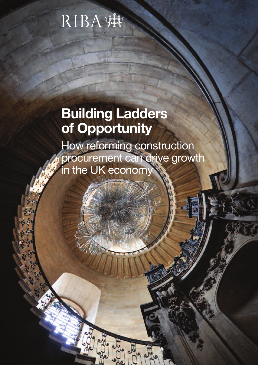# RIBA

# **Building Ladders of Opportunity**

How reforming construction procurement can drive growth in the UK economy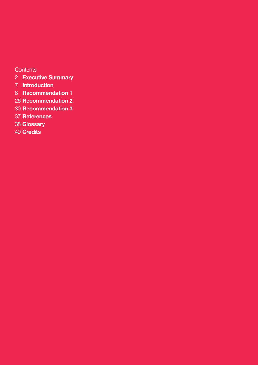**Contents** 

- **Executive Summary**
- **Introduction**
- **Recommendation 1**
- **Recommendation 2**
- **Recommendation 3**
- **References**
- **Glossary**
- **Credits**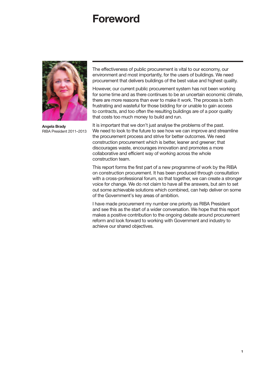## **Foreword**



**Angela Brady** RIBA President 2011–2013

The effectiveness of public procurement is vital to our economy, our environment and most importantly, for the users of buildings. We need procurement that delivers buildings of the best value and highest quality.

However, our current public procurement system has not been working for some time and as there continues to be an uncertain economic climate, there are more reasons than ever to make it work. The process is both frustrating and wasteful for those bidding for or unable to gain access to contracts, and too often the resulting buildings are of a poor quality that costs too much money to build and run.

It is important that we don't just analyse the problems of the past. We need to look to the future to see how we can improve and streamline the procurement process and strive for better outcomes. We need construction procurement which is better, leaner and greener; that discourages waste, encourages innovation and promotes a more collaborative and efficient way of working across the whole construction team.

This report forms the first part of a new programme of work by the RIBA on construction procurement. It has been produced through consultation with a cross-professional forum, so that together, we can create a stronger voice for change. We do not claim to have all the answers, but aim to set out some achievable solutions which combined, can help deliver on some of the Government's key areas of ambition.

I have made procurement my number one priority as RIBA President and see this as the start of a wider conversation. We hope that this report makes a positive contribution to the ongoing debate around procurement reform and look forward to working with Government and industry to achieve our shared objectives.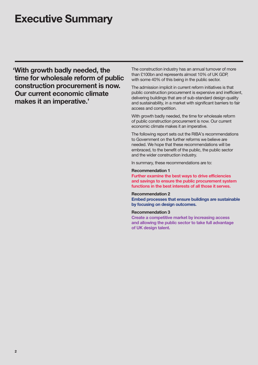## **Executive Summary**

**'With growth badly needed, the time for wholesale reform of public construction procurement is now. Our current economic climate makes it an imperative.'**

The construction industry has an annual turnover of more than £100bn and represents almost 10% of UK GDP, with some 40% of this being in the public sector.

The admission implicit in current reform initiatives is that public construction procurement is expensive and inefficient, delivering buildings that are of sub-standard design quality and sustainability, in a market with significant barriers to fair access and competition.

With growth badly needed, the time for wholesale reform of public construction procurement is now. Our current economic climate makes it an imperative.

The following report sets out the RIBA's recommendations to Government on the further reforms we believe are needed. We hope that these recommendations will be embraced, to the benefit of the public, the public sector and the wider construction industry.

In summary, these recommendations are to:

#### **Recommendation 1**

**Further examine the best ways to drive efficiencies and savings to ensure the public procurement system functions in the best interests of all those it serves.**

#### **Recommendation 2**

**Embed processes that ensure buildings are sustainable by focusing on design outcomes.**

#### **Recommendation 3**

**Create a competitive market by increasing access and allowing the public sector to take full advantage of UK design talent.**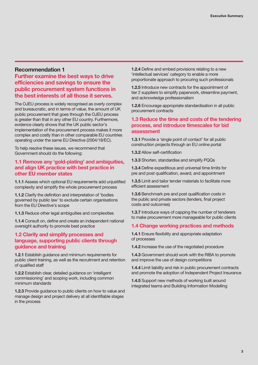## **Recommendation 1**

**Further examine the best ways to drive efficiencies and savings to ensure the public procurement system functions in the best interests of all those it serves.**

The OJEU process is widely recognised as overly complex and bureaucratic, and in terms of value, the amount of UK public procurement that goes through the OJEU process is greater than that in any other EU country. Furthermore, evidence clearly shows that the UK public sector's implementation of the procurement process makes it more complex and costly than in other comparable EU countries operating under the same EU Directive (2004/18/EC).

To help resolve these issues, we recommend that Government should do the following:

## **1.1 Remove any 'gold-plating' and ambiguities, and align UK practice with best practice in other EU member states**

**1.1.1** Assess which optional EU requirements add unjustified complexity and simplify the whole procurement process

**1.1.2** Clarify the definition and interpretation of 'bodies governed by public law' to exclude certain organisations from the EU Directive's scope

**1.1.3** Reduce other legal ambiguities and complexities

**1.1.4** Consult on, define and create an independent national oversight authority to promote best practice

## **1.2 Clarify and simplify processes and language, supporting public clients through guidance and training**

**1.2.1** Establish guidance and minimum requirements for public client training, as well as the recruitment and retention of qualified staff

**1.2.2** Establish clear, detailed guidance on 'intelligent commissioning' and scoping work, including common minimum standards

**1.2.3** Provide guidance to public clients on how to value and manage design and project delivery at all identifiable stages in the process

**1.2.4** Define and embed provisions relating to a new 'intellectual services' category to enable a more proportionate approach to procuring such professionals

**1.2.5** Introduce new contracts for the appointment of tier 2 suppliers to simplify paperwork, streamline payment, and acknowledge professionalism

**1.2.6** Encourage appropriate standardisation in all public procurement contracts

## **1.3 Reduce the time and costs of the tendering process, and introduce timescales for bid assessment**

**1.3.1** Provide a 'single point of contact' for all public construction projects through an EU online portal

**1.3.2** Allow self-certification

**1.3.3** Shorten, standardise and simplify PQQs

**1.3.4** Define expeditious and universal time limits for pre and post qualification, award, and appointment

**1.3.5** Limit and tailor tender materials to facilitate more efficient assessment

**1.3.6** Benchmark pre and post qualification costs in the public and private sectors (tenders, final project costs and outcomes)

**1.3.7** Introduce ways of capping the number of tenderers to make procurement more manageable for public clients

### **1.4 Change working practices and methods**

**1.4.1** Ensure flexibility and appropriate adaptation of processes

**1.4.2** Increase the use of the negotiated procedure

**1.4.3** Government should work with the RIBA to promote and improve the use of design competitions

**1.4.4** Limit liability and risk in public procurement contracts and promote the adoption of Independent Project Insurance

**1.4.5** Support new methods of working built around integrated teams and Building Information Modelling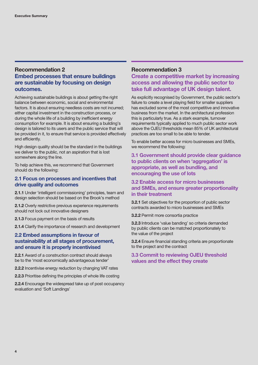## **Recommendation 2 Embed processes that ensure buildings are sustainable by focusing on design outcomes.**

Achieving sustainable buildings is about getting the right balance between economic, social and environmental factors. It is about ensuring needless costs are not incurred; either capital investment in the construction process, or during the whole life of a building by inefficient energy consumption for example. It is about ensuring a building's design is tailored to its users and the public service that will be provided in it, to ensure that service is provided effectively and efficiently.

High design quality should be the standard in the buildings we deliver to the public, not an aspiration that is lost somewhere along the line.

To help achieve this, we recommend that Government should do the following:

## **2.1 Focus on processes and incentives that drive quality and outcomes**

**2.1.1** Under 'intelligent commissioning' principles, team and design selection should be based on the Brook's method

**2.1.2** Overly restrictive previous experience requirements should not lock out innovative designers

**2.1.3** Focus payment on the basis of results

**2.1.4** Clarify the importance of research and development

## **2.2 Embed assumptions in favour of sustainability at all stages of procurement, and ensure it is properly incentivised**

**2.2.1** Award of a construction contract should always be to the 'most economically advantageous tender'

**2.2.2** Incentivise energy reduction by changing VAT rates

**2.2.3** Prioritise defining the principles of whole life costing

**2.2.4** Encourage the widespread take up of post occupancy evaluation and 'Soft Landings'

### **Recommendation 3**

## **Create a competitive market by increasing access and allowing the public sector to take full advantage of UK design talent.**

As explicitly recognised by Government, the public sector's failure to create a level playing field for smaller suppliers has excluded some of the most competitive and innovative business from the market. In the architectural profession this is particularly true. As a stark example, turnover requirements typically applied to much public sector work above the OJEU thresholds mean 85% of UK architectural practices are too small to be able to tender.

To enable better access for micro businesses and SMEs, we recommend the following:

**3.1 Government should provide clear guidance to public clients on when 'aggregation' is appropriate, as well as bundling, and encouraging the use of lots**

## **3.2 Enable access for micro businesses and SMEs, and ensure greater proportionality in their treatment**

**3.2.1** Set objectives for the proportion of public sector contracts awarded to micro businesses and SMEs

**3.2.2** Permit more consortia practice

**3.2.3** Introduce 'value banding' so criteria demanded by public clients can be matched proportionately to the value of the project

**3.2.4** Ensure financial standing criteria are proportionate to the project and the contract

## **3.3 Commit to reviewing OJEU threshold values and the effect they create**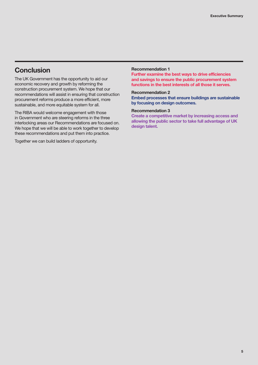## **Conclusion**

The UK Government has the opportunity to aid our economic recovery and growth by reforming the construction procurement system. We hope that our recommendations will assist in ensuring that construction procurement reforms produce a more efficient, more sustainable, and more equitable system for all.

The RIBA would welcome engagement with those in Government who are steering reforms in the three interlocking areas our Recommendations are focused on. We hope that we will be able to work together to develop these recommendations and put them into practice.

Together we can build ladders of opportunity.

#### **Recommendation 1**

**Further examine the best ways to drive efficiencies and savings to ensure the public procurement system functions in the best interests of all those it serves.**

### **Recommendation 2**

**Embed processes that ensure buildings are sustainable by focusing on design outcomes.**

#### **Recommendation 3**

**Create a competitive market by increasing access and allowing the public sector to take full advantage of UK design talent.**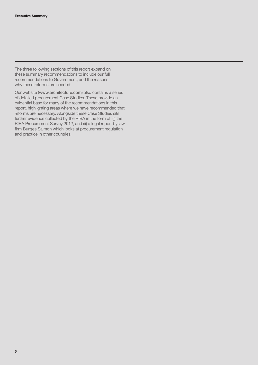The three following sections of this report expand on these summary recommendations to include our full recommendations to Government, and the reasons why these reforms are needed.

Our website ([www.architecture.com](http://www.architecture.com)) also contains a series of detailed procurement Case Studies. These provide an evidential base for many of the recommendations in this report, highlighting areas where we have recommended that reforms are necessary. Alongside these Case Studies sits further evidence collected by the RIBA in the form of: (i) the RIBA Procurement Survey 2012; and (ii) a legal report by law firm Burges Salmon which looks at procurement regulation and practice in other countries.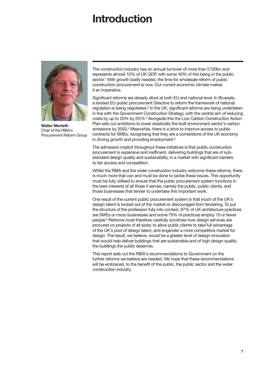## **Introduction**



**Walter Menteth** Chair of the RIBA's Procurement Reform Group

The construction industry has an annual turnover of more than £100bn and represents almost 10% of UK GDP, with some 40% of this being in the public sector.<sup>1</sup> With growth badly needed, the time for wholesale reform of public construction procurement is now. Our current economic climate makes it an imperative.

Significant reforms are already afoot at both EU and national level. In Brussels, a revised EU public procurement Directive to reform the framework of national regulation is being negotiated.2 In the UK, significant reforms are being undertaken in line with the Government Construction Strategy, with the central aim of reducing costs by up to 20% by 2015.3 Alongside this the Low Carbon Construction Action Plan sets out ambitions to lower drastically the built environment sector's carbon emissions by 2050.4 Meanwhile, there is a drive to improve access to public contracts for SMEs, recognising that they are a cornerstone of the UK economy in driving growth and providing employment.<sup>5</sup>

The admission implicit throughout these initiatives is that public construction procurement is expensive and inefficient, delivering buildings that are of substandard design quality and sustainability, in a market with significant barriers to fair access and competition.

Whilst the RIBA and the wider construction industry welcome these reforms, there is much more that can and must be done to tackle these issues. This opportunity must be fully utilised to ensure that the public procurement system functions in the best interests of all those it serves; namely the public, public clients, and those businesses that tender to undertake this important work.

One result of the current public procurement system is that much of the UK's design talent is locked out of the market or discouraged from tendering. To put the structure of the profession fully into context, 97% of UK architecture practices are SMEs or micro businesses and some 79% of practices employ 10 or fewer people.6 Reforms must therefore carefully scrutinise how design services are procured on projects of all sizes; to allow public clients to take full advantage of the UK's pool of design talent, and engender a more competitive market for design. The result, we believe, would be a greater level of design innovation that would help deliver buildings that are sustainable and of high design quality; the buildings the public deserves.

This report sets out the RIBA's recommendations to Government on the further reforms we believe are needed. We hope that these recommendations will be embraced, to the benefit of the public, the public sector and the wider construction industry.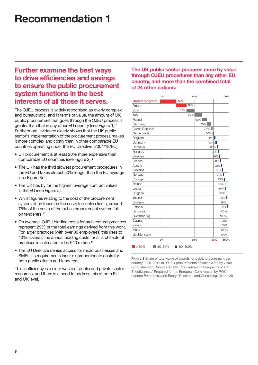## **Recommendation 1**

## **Further examine the best ways to drive efficiencies and savings to ensure the public procurement system functions in the best interests of all those it serves.**

The OJEU process is widely recognised as overly complex and bureaucratic, and in terms of value, the amount of UK public procurement that goes through the OJEU process is greater than that in any other EU country (see Figure 1).<sup>7</sup> Furthermore, evidence clearly shows that the UK public sector's implementation of the procurement process makes it more complex and costly than in other comparable EU countries operating under the EU Directive (2004/18/EC).

- UK procurement is at least 20% more expensive than comparable EU countries (see Figure 2).<sup>8</sup>
- The UK has the third slowest procurement procedures in the EU and takes almost 50% longer than the EU average (see Figure 3).9
- The UK has by far the highest average contract values in the EU (see Figure 5).
- Whilst figures relating to the cost of the procurement system often focus on the costs to public clients, around 75% of the costs of the public procurement system fall on tenderers.10
- On average, OJEU bidding costs for architectural practices represent 29% of the total earnings derived from this work. For larger practices (with over 30 employees) this rises to 40%. Overall, the annual bidding costs for all architectural practices is estimated to be £40 million.11
- The EU Directive denies access for micro businesses and SMEs; its requirements incur disproportionate costs for both public clients and tenderers.

This inefficiency is a clear waste of public and private sector resources, and there is a need to address this at both EU and UK level.

**The UK public sector procures more by value through OJEU procedures than any other EU country, and more than the combined total of 24 other nations:**

|                       | 0%     |         | 50%    | 100%        |
|-----------------------|--------|---------|--------|-------------|
| <b>United Kingdom</b> |        | 24%     |        |             |
| France                |        | 39%     |        |             |
| Spain                 |        | 51%     |        |             |
| Italy                 |        | 62%     |        |             |
| Poland                |        |         | 69%    |             |
| Germany               |        |         | 75%    |             |
| Czech Republic        |        |         | 77%    |             |
| Netherlands           |        |         | $80\%$ |             |
| Belgium               |        |         | $82\%$ |             |
| Denmark               |        |         | $84\%$ |             |
| Romania               |        |         |        | $85\%$      |
| Hungary               |        |         |        | $87\%$      |
| Sweden                |        |         |        | 89%         |
| Greece                |        |         |        | $90\%$      |
| Austria               |        |         |        | $92\%$      |
| Slovakia              |        |         |        | 93%         |
| Norway                |        |         |        | 94%         |
| Portugal              |        |         |        | 95%         |
| Finland               |        |         |        | $96\%$      |
| Latvia                |        |         |        | 97%         |
| Bulgaria              |        |         |        | 98%         |
| Ireland               |        |         |        | 98%         |
| Slovenia              |        |         |        | 99%         |
| Estonia               |        |         |        | 99%         |
| Lithuania             |        |         |        | 100%        |
| Luxembourg            |        |         |        | 100%        |
| Cyprus                |        |         |        | 100%        |
| Iceland               |        |         |        | 100%        |
| Malta                 |        |         |        | 100%        |
| Liechtenstein         |        |         |        | 100%        |
|                       | 0%     |         | 50%    | 80%<br>100% |
| >50%                  | 50-80% | 80-100% |        |             |

**Figure 1** Share of total value of awards for public procurement per country 2006–2010 (all OJEU procurements of which 37% by value is construction). **Source** 'Public Procurement in Europe: Cost and Effectiveness.' Prepared for the European Commission by PWC, London Economics and Ecorys Research and Consulting, March 2011.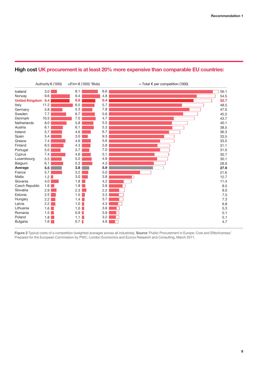## **High cost UK procurement is at least 20% more expensive than comparable EU countries:**



**Figure 2** Typical costs of a competition (weighted averages across all industries). **Source** 'Public Procurement in Europe: Cost and Effectiveness.' Prepared for the European Commission by PWC, London Economics and Ecorys Research and Consulting, March 2011.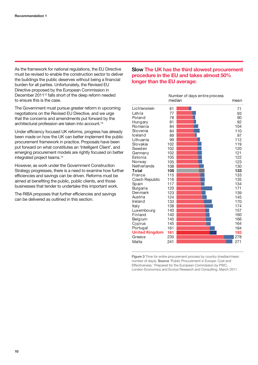As the framework for national regulations, the EU Directive must be revised to enable the construction sector to deliver the buildings the public deserves without being a financial burden for all parties. Unfortunately, the Revised EU Directive proposed by the European Commission in December 201112 falls short of the deep reform needed to ensure this is the case.

The Government must pursue greater reform in upcoming negotiations on the Revised EU Directive, and we urge that the concerns and amendments put forward by the architectural profession are taken into account.13

Under efficiency focused UK reforms, progress has already been made on how the UK can better implement the public procurement framework in practice. Proposals have been put forward on what constitutes an 'Intelligent Client', and emerging procurement models are rightly focused on better integrated project teams.14

However, as work under the Government Construction Strategy progresses, there is a need to examine how further efficiencies and savings can be driven. Reforms must be aimed at benefiting the public, public clients, and those businesses that tender to undertake this important work.

The RIBA proposes that further efficiencies and savings can be delivered as outlined in this section.

## **Slow The UK has the third slowest procurement procedure in the EU and takes almost 50% longer than the EU average:**

|                       | Number of days entire process |  |      |  |
|-----------------------|-------------------------------|--|------|--|
|                       | median                        |  | mean |  |
| Lichtenstein          | 61                            |  | 71   |  |
| Latvia                | 77                            |  | 93   |  |
| Poland                | 78                            |  | 90   |  |
| Hungary               | 81                            |  | 92   |  |
| Romania               | 84                            |  | 104  |  |
| Slovenia              | 84                            |  | 110  |  |
| Iceland               | 89                            |  | 97   |  |
| Lithuania             | 99                            |  | 112  |  |
| Slovakia              | 102                           |  | 119  |  |
| Sweden                | 102                           |  | 120  |  |
| Germany               | 102                           |  | 121  |  |
| Estonia               | 105                           |  | 122  |  |
| Norway                | 105                           |  | 123  |  |
| Netherlands           | 108                           |  | 130  |  |
| Total                 | 108                           |  | 133  |  |
| France                | 115                           |  | 133  |  |
| <b>Czech Republic</b> | 116                           |  | 135  |  |
| Spain                 | 117                           |  | 134  |  |
| Bulgaria              | 120                           |  | 171  |  |
| Denmark               | 123                           |  | 139  |  |
| Austria               | 124                           |  | 145  |  |
| Ireland               | 133                           |  | 170  |  |
| Italy                 | 138                           |  | 174  |  |
| Luxembourg            | 140                           |  | 157  |  |
| Finland               | 140                           |  | 160  |  |
| Belgium               | 140                           |  | 166  |  |
| Cyprus                | 145                           |  | 164  |  |
| Portugal              | 161                           |  | 184  |  |
| <b>United Kingdom</b> | 161                           |  | 193  |  |
| Greece                | 230                           |  | 278  |  |
| Malta                 | 241                           |  | 271  |  |

**Figure 3** Time for entire procurement process by country (median/mean number of days). **Source** 'Public Procurement in Europe: Cost and Effectiveness.' Prepared for the European Commission by PWC, London Economics and Ecorys Research and Consulting, March 2011.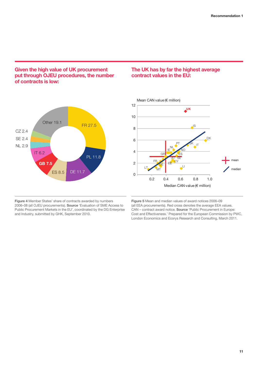## **Given the high value of UK procurement put through OJEU procedures, the number of contracts is low:**



## **The UK has by far the highest average contract values in the EU:**



**Figure 4** Member States' share of contracts awarded by numbers 2006–08 (all OJEU procurements). **Source** 'Evaluation of SME Access to Public Procurement Markets in the EU', coordinated by the DG Enterprise and Industry, submitted by GHK, September 2010.

**Figure 5** Mean and median values of award notices 2006–09 (all EEA procurements). Red cross denotes the average EEA values. CAN – contract award notice. **Source** 'Public Procurement in Europe: Cost and Effectiveness.' Prepared for the European Commission by PWC, London Economics and Ecorys Research and Consulting, March 2011.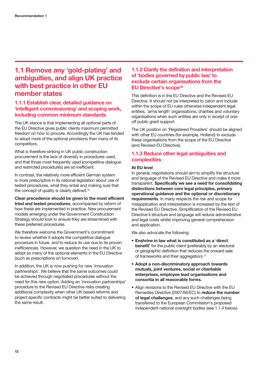## **1.1 Remove any 'gold-plating' and ambiguities, and align UK practice with best practice in other EU member states**

## **1.1.1 Establish clear, detailed guidance on 'intelligent commissioning' and scoping work, including common minimum standards**

The UK stance is that implementing all optional parts of the EU Directive gives public clients maximum permitted freedom on how to procure. Accordingly the UK has tended to adopt more of the optional provisions than many of its competitors.

What is therefore striking in UK public construction procurement is the lack of diversity in procedures used, and that those most frequently used (competitive dialogue and restricted procedures) are so inefficient.

In contrast, the relatively more efficient German system is more prescriptive in its national legislation about use of tested procedures, what they entail and making sure that the concept of quality is clearly defined.<sup>15</sup>

**Clear precedence should be given to the most efficient tried and tested procedures**, accompanied by reform of how these are implemented in practice. New procurement models emerging under the Government Construction Strategy should look to ensure they are streamlined with these preferred procedures.

We therefore welcome the Government's commitment to review whether it adopts the competitive dialogue procedure in future, and to reduce its use due to its proven inefficiencies. However, we question the need in the UK to adopt so many of the optional elements in the EU Directive (such as prescriptions on turnover).

In addition, the UK is now pushing for new 'innovation partnerships'. We believe that the same outcomes could be achieved through negotiated procedures without the need for this new option. Adding an 'innovation partnerships' procedure to the Revised EU Directive risks creating additional complexity when other UK based reforms and project specific contracts might be better suited to delivering the same result.

## **1.1.2 Clarify the definition and interpretation of 'bodies governed by public law' to exclude certain organisations from the EU Directive's scope16**

This definition is in the EU Directive and the Revised EU Directive. It should not be interpreted to catch and include within the scope of EU rules otherwise independent legal entities, 'arms length' organisations, charities and voluntary organisations when such entities are only in receipt of oneoff public grant support.

The UK position on 'Registered Providers' should be aligned with other EU countries (for example, Holland) to exclude these organisations from the scope of the EU Directive (and Revised EU Directive).

## **1.1.3 Reduce other legal ambiguities and complexities**

### **At EU level**

In general, negotiations should aim to simplify the structure and language of the Revised EU Directive and make it more transparent. **Specifically we see a need for consolidating distinctions between core legal principles, primary operational guidance and the optional or discretionary requirements**. In many respects the risk and scope for misapplication and interpretation is increased by the text of the Revised EU Directive. Simplification of the Revised EU Directive's structure and language will reduce administrative and legal costs whilst improving general comprehension and application.

We also advocate the following:

- **Enshrine in law what is constituted as a 'direct benefit'** for the public client (preferably by an electoral or geographic definition that reduces the onward sale of frameworks and their aggregation).17
- **Adopt a non-discriminatory approach towards mutuals, joint ventures, social or charitable enterprises, employee lead organisations and consortia in all reasonable forms.**
- Align revisions to the Revised EU Directive with the EU Remedies Directive (2007/66/EC) to **reduce the number of legal challenges**, and any such challenges being transferred to the European Commission's proposed independent national oversight bodies (see 1.1.4 below).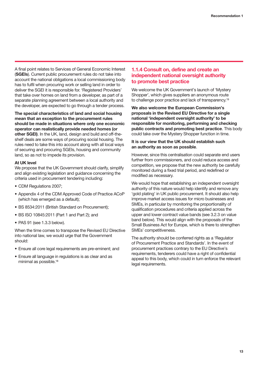A final point relates to Services of General Economic Interest (**SGEIs**). Current public procurement rules do not take into account the national obligations a local commissioning body has to fulfil when procuring work or selling land in order to deliver the SGEI it is responsible for. 'Registered Providers' that take over homes on land from a developer, as part of a separate planning agreement between a local authority and the developer, are expected to go through a tender process.

**The special characteristics of land and social housing mean that an exception to the procurement rules should be made in situations where only one economic operator can realistically provide needed homes (or other SGEI)**. In the UK, land, design and build and off-theshelf deals are some ways of procuring social housing. The rules need to take this into account along with all local ways of securing and procuring SGEIs, housing and community land, so as not to impede its provision.

#### **At UK level**

We propose that the UK Government should clarify, simplify and align existing legislation and guidance concerning the criteria used in procurement tendering including:

- CDM Regulations 2007;
- Appendix 4 of the CDM Approved Code of Practice ACoP (which has emerged as a default);
- BS 8534:2011 (British Standard on Procurement);
- BS ISO 10845:2011 (Part 1 and Part 2); and
- PAS 91 (see 1.3.3 below).

When the time comes to transpose the Revised EU Directive into national law, we would urge that the Government should:

- Ensure all core legal requirements are pre-eminent; and
- Ensure all language in regulations is as clear and as minimal as possible.18

## **1.1.4 Consult on, define and create an independent national oversight authority to promote best practice**

We welcome the UK Government's launch of 'Mystery Shopper', which gives suppliers an anonymous route to challenge poor practice and lack of transparency.<sup>19</sup>

**We also welcome the European Commission's proposals in the Revised EU Directive for a single national 'independent oversight authority' to be responsible for monitoring, performing and checking public contracts and promoting best practice**. This body could take over the Mystery Shopper function in time.

#### **It is our view that the UK should establish such an authority as soon as possible**.

However, since this centralisation could separate end users further from commissioners, and could reduce access and competition, we propose that the new authority be carefully monitored during a fixed trial period, and redefined or modified as necessary.

We would hope that establishing an independent oversight authority of this nature would help identify and remove any 'gold plating' in UK public procurement. It should also help improve market access issues for micro businesses and SMEs, in particular by monitoring the proportionality of qualification procedures and criteria applied across the upper and lower contract value bands (see 3.2.3 on value band below). This would align with the proposals of the Small Business Act for Europe, which is there to strengthen SMEs' competitiveness.

The authority should be conferred rights as a 'Regulator of Procurement Practice and Standards'. In the event of procurement practices contrary to the EU Directive's requirements, tenderers could have a right of confidential appeal to this body, which could in turn enforce the relevant legal requirements.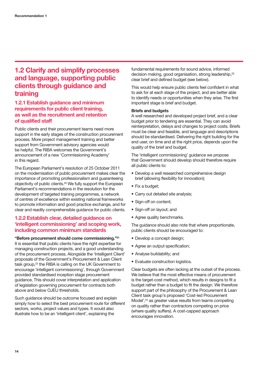## **1.2 Clarify and simplify processes and language, supporting public clients through guidance and training**

## **1.2.1 Establish guidance and minimum requirements for public client training, as well as the recruitment and retention of qualified staff**

Public clients and their procurement teams need more support in the early stages of the construction procurement process. More project management training and better support from Government advisory agencies would be helpful. The RIBA welcomes the Government's announcement of a new 'Commissioning Academy' in this regard.

The European Parliament's resolution of 25 October 2011 on the modernisation of public procurement makes clear the importance of promoting professionalism and guaranteeing objectivity of public clients.20 We fully support the European Parliament's recommendations in the resolution for the development of targeted training programmes, a network of centres of excellence within existing national frameworks to promote information and good practice exchange, and for clear and readily comprehensible guidance for public clients.

## **1.2.2 Establish clear, detailed guidance on 'intelligent commissioning' and scoping work, including common minimum standards**

**"Before procurement should come commissioning."21**

It is essential that public clients have the right expertise for managing construction projects, and a good understanding of the procurement process. Alongside the 'Intelligent Client' proposals of the Government's Procurement & Lean Client task group,<sup>22</sup> the RIBA is calling on the UK Government to encourage 'intelligent commissioning', through Government provided standardised inception stage procurement guidance. This should cover interpretation and application of legislation governing procurement for contracts both above and below OJEU thresholds.

Such guidance should be outcome focused and explain simply how to select the best procurement route for different sectors, works, project values and types. It would also illustrate how to be an 'intelligent client', explaining the

fundamental requirements for sound advice, informed decision making, good organisation, strong leadership.<sup>23</sup> clear brief and defined budget (see below).

This would help ensure public clients feel confident in what to ask for at each stage of the project, and are better able to identify needs or opportunities when they arise. The first important stage is brief and budget.

### **Briefs and budgets**

A well researched and developed project brief, and a clear budget prior to tendering are essential. They can avoid reinterpretation, delays and changes to project costs. Briefs must be clear and feasible, and language and descriptions should be standardised. Delivering the right building for the end user, on time and at the right price, depends upon the quality of the brief and budget.

The 'intelligent commissioning' guidance we propose that Government should develop should therefore require all public clients to:

- Develop a well researched comprehensive design brief (allowing flexibility for innovation);
- Fix a budget;
- Carry out detailed site analysis;
- Sign-off on content;
- Sign-off on layout; and
- Agree quality benchmarks.

The guidance should also note that where proportionate, public clients should be encouraged to:

- Develop a concept design;
- Agree an output specification;
- Analyse buildability; and
- Evaluate construction logistics.

Clear budgets are often lacking at the outset of the process. We believe that the most effective means of procurement is the target-cost method, which results in designs to fit a budget rather than a budget to fit the design. We therefore support part of the philosophy of the Procurement & Lean Client task group's proposed 'Cost-led Procurement Model',<sup>24</sup> as greater value results from teams competing on quality rather than contractors competing on price (where quality suffers). A cost-capped approach encourages innovation.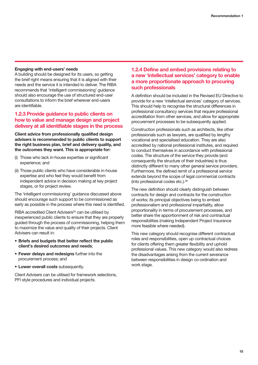### **Engaging with end-users' needs**

A building should be designed for its users, so getting the brief right means ensuring that it is aligned with their needs and the service it is intended to deliver. The RIBA recommends that 'intelligent commissioning' guidance should also encourage the use of structured end-user consultations to inform the brief wherever end-users are identifiable.

## **1.2.3 Provide guidance to public clients on how to value and manage design and project delivery at all identifiable stages in the process**

**Client advice from professionally qualified design advisers is recommended to public clients to support the right business plan, brief and delivery quality, and the outcomes they want. This is appropriate for:**

- (i) Those who lack in-house expertise or significant experience; and
- (ii) Those public clients who have considerable in-house expertise and who feel they would benefit from independent advice in decision making at key project stages, or for project review.

The 'intelligent commissioning' guidance discussed above should encourage such support to be commissioned as early as possible in the process where this need is identified.

RIBA accredited Client Advisers<sup>25</sup> can be utilised by inexperienced public clients to ensure that they are properly guided through the process of commissioning, helping them to maximize the value and quality of their projects. Client Advisers can result in:

- **Briefs and budgets that better reflect the public client's desired outcomes and needs**;
- **Fewer delays and redesigns** further into the procurement process; and
- **Lower overall costs** subsequently.

Client Advisers can be utilised for framework selections, PFI style procedures and individual projects.

## **1.2.4 Define and embed provisions relating to a new 'intellectual services' category to enable a more proportionate approach to procuring such professionals**

A definition should be included in the Revised EU Directive to provide for a new 'intellectual services' category of services. This should help to recognise the structural differences in professional consultancy services that require professional accreditation from other services, and allow for appropriate procurement processes to be subsequently applied.

Construction professionals such as architects, like other professionals such as lawyers, are qualified by lengthy vocational and specialised education. They are also accredited by national professional institutes, and required to conduct themselves in accordance with professional codes. The structure of the service they provide (and consequently the structure of their industries) is thus distinctly different to many other general service providers. Furthermore, the defined remit of a professional service extends beyond the scope of legal commercial contracts (into professional codes etc.).26

The new definition should clearly distinguish between contracts for design and contracts for the construction of works; its principal objectives being to embed professionalism and professional impartiality, allow proportionality in terms of procurement processes, and better share the apportionment of risk and contractual responsibilities (making Independent Project Insurance more feasible where needed).

This new category should recognise different contractual roles and responsibilities, open up contractual choices for clients offering them greater flexibility and uphold professional values. This new category would also redress the disadvantages arising from the current severance between responsibilities in design co-ordination and work stage.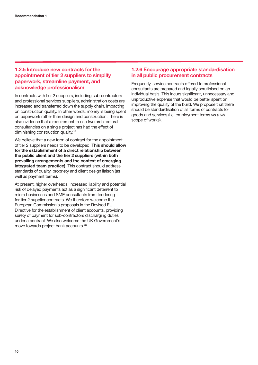## **1.2.5 Introduce new contracts for the appointment of tier 2 suppliers to simplify paperwork, streamline payment, and acknowledge professionalism**

In contracts with tier 2 suppliers, including sub-contractors and professional services suppliers, administration costs are increased and transferred down the supply chain, impacting on construction quality. In other words, money is being spent on paperwork rather than design and construction. There is also evidence that a requirement to use two architectural consultancies on a single project has had the effect of diminishing construction quality.<sup>27</sup>

We believe that a new form of contract for the appointment of tier 2 suppliers needs to be developed. **This should allow for the establishment of a direct relationship between the public client and the tier 2 suppliers (within both prevailing arrangements and the context of emerging integrated team practice)**. This contract should address standards of quality, propriety and client design liaison (as well as payment terms).

At present, higher overheads, increased liability and potential risk of delayed payments act as a significant deterrent to micro businesses and SME consultants from tendering for tier 2 supplier contracts. We therefore welcome the European Commission's proposals in the Revised EU Directive for the establishment of client accounts, providing surety of payment for sub-contractors discharging duties under a contract. We also welcome the UK Government's move towards project bank accounts.28

## **1.2.6 Encourage appropriate standardisation in all public procurement contracts**

Frequently, service contracts offered to professional consultants are prepared and legally scrutinised on an individual basis. This incurs significant, unnecessary and unproductive expense that would be better spent on improving the quality of the build. We propose that there should be standardisation of all forms of contracts for goods and services (i.e. employment terms *vis a vis* scope of works).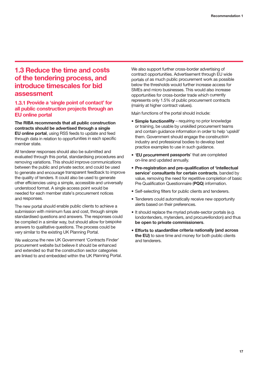## **1.3 Reduce the time and costs of the tendering process, and introduce timescales for bid assessment**

## **1.3.1 Provide a 'single point of contact' for all public construction projects through an EU online portal**

**The RIBA recommends that all public construction contracts should be advertised through a single EU online portal**, using RSS feeds to update and feed through data in relation to opportunities in each specific member state.

All tenderer responses should also be submitted and evaluated through this portal, standardising procedures and removing variations. This should improve communications between the public and private sector, and could be used to generate and encourage transparent feedback to improve the quality of tenders. It could also be used to generate other efficiencies using a simple, accessible and universally understood format. A single access point would be needed for each member state's procurement notices and responses.

The new portal should enable public clients to achieve a submission with minimum fuss and cost, through simple standardised questions and answers. The responses could be compiled in a similar way, but should allow for bespoke answers to qualitative questions. The process could be very similar to the existing UK Planning Portal.

We welcome the new UK Government 'Contracts Finder' procurement website but believe it should be enhanced and extended so that the construction sector categories are linked to and embedded within the UK Planning Portal. We also support further cross-border advertising of contract opportunities. Advertisement through EU wide portals of as much public procurement work as possible below the thresholds would further increase access for SMEs and micro businesses. This would also increase opportunities for cross-border trade which currently represents only 1.5% of public procurement contracts (mainly at higher contract values).

Main functions of the portal should include:

- **Simple functionality** requiring no prior knowledge or training, be usable by unskilled procurement teams and contain guidance information in order to help 'upskill' them. Government should engage the construction industry and professional bodies to develop best practice examples to use in such guidance.
- '**EU procurement passports**' that are completed on-line and updated annually.
- **Pre-registration and pre-qualification of 'intellectual service' consultants for certain contracts**, banded by value, removing the need for repetitive completion of basic Pre Qualification Questionnaire (**PQQ**) information.
- Self-selecting filters for public clients and tenderers.
- Tenderers could automatically receive new opportunity alerts based on their preferences.
- It should replace the myriad private-sector portals (e.g. londontenders, mytenders, and procure4london) and thus **be open to private commissioners**.
- **Efforts to standardise criteria nationally (and across the EU)** to save time and money for both public clients and tenderers.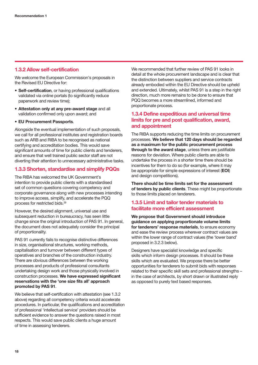## **1.3.2 Allow self-certification**

We welcome the European Commission's proposals in the Revised EU Directive for:

- **Self-certification**, or having professional qualifications validated via online portals (to significantly reduce paperwork and review time);
- **Attestation only at any pre-award stage** and all validation confirmed only upon award; and
- **EU Procurement Passports**.

Alongside the eventual implementation of such proposals, we call for all professional institutes and registration boards such as ARB and RIBA to be recognised as national certifying and accreditation bodies. This would save significant amounts of time for public clients and tenderers. and ensure that well trained public sector staff are not diverting their attention to unnecessary administrative tasks.

## **1.3.3 Shorten, standardise and simplify PQQs**

The RIBA has welcomed the UK Government's intention to provide public clients with a standardised set of common questions covering competency and corporate governance along with new processes intending to improve access, simplify, and accelerate the PQQ process for restricted bids.29

However, the desired alignment, universal use and subsequent reduction in bureaucracy, has seen little change since the original introduction of PAS 91. In general, the document does not adequately consider the principal of proportionality.

PAS 91 currently fails to recognise distinctive differences in size, organisational structures, working methods, capitalisation and turnover between different types of operatives and branches of the construction industry. There are obvious differences between the working processes and products of professional consultants undertaking design work and those physically involved in construction processes. **We have expressed significant reservations with the 'one size fits all' approach promoted by PAS 91**.

We believe that self-certification with attestation (see 1.3.2 above) regarding all competency criteria would accelerate procedures. In particular, the qualifications and accreditation of professional 'intellectual service' providers should be sufficient evidence to answer the questions raised in most respects. This would save public clients a huge amount of time in assessing tenderers.

We recommended that further review of PAS 91 looks in detail at the whole procurement landscape and is clear that the distinction between suppliers and service contracts already embodied within the EU Directive should be upheld and extended. Ultimately, whilst PAS 91 is a step in the right direction, much more remains to be done to ensure that PQQ becomes a more streamlined, informed and proportionate process.

## **1.3.4 Define expeditious and universal time limits for pre and post qualification, award, and appointment**

The RIBA supports reducing the time limits on procurement processes. **We believe that 120 days should be regarded as a maximum for the public procurement process through to the award stage**, unless there are justifiable reasons for deviation. Where public clients are able to undertake the process in a shorter time there should be incentives for them to do so (for example, where it may be appropriate for simple expressions of interest (**EOI**) and design competitions).

**There should be time limits set for the assessment of tenders by public clients**. These might be proportionate to those limits placed on tenderers.

## **1.3.5 Limit and tailor tender materials to facilitate more efficient assessment**

**We propose that Government should introduce guidance on applying proportionate volume limits for tenderers' response materials**, to ensure economy and ease the review process wherever contract values are within the lower range of contract values (the 'lower band' proposed in 3.2.3 below).

Designers have specialist knowledge and specific skills which inform design processes. It should be these skills which are evaluated. We propose there be better opportunities for tenderers to submit bids with responses related to their specific skill sets and professional strengths – in the case of architects, by short drawn or illustrated reply as opposed to purely text based responses.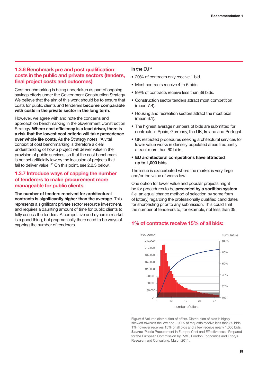## **1.3.6 Benchmark pre and post qualification costs in the public and private sectors (tenders, final project costs and outcomes)**

Cost benchmarking is being undertaken as part of ongoing savings efforts under the Government Construction Strategy. We believe that the aim of this work should be to ensure that costs for public clients and tenderers **become comparable with costs in the private sector in the long term**.

However, we agree with and note the concerns and approach on benchmarking in the Government Construction Strategy. **Where cost efficiency is a lead driver, there is a risk that the lowest cost criteria will take precedence over whole life costs**. As the Strategy notes: 'A vital context of cost benchmarking is therefore a clear understanding of how a project will deliver value in the provision of public services, so that the cost benchmark is not set artificially low by the inclusion of projects that fail to deliver value.<sup>'30</sup> On this point, see 2.2.3 below.

## **1.3.7 Introduce ways of capping the number of tenderers to make procurement more manageable for public clients**

**The number of tenders received for architectural contracts is significantly higher than the average**. This represents a significant private sector resource investment, and requires a daunting amount of time for public clients to fully assess the tenders. A competitive and dynamic market is a good thing, but pragmatically there need to be ways of capping the number of tenderers.

#### **In the EU31**

- 20% of contracts only receive 1 bid.
- Most contracts receive 4 to 6 bids.
- 99% of contracts receive less than 39 bids.
- Construction sector tenders attract most competition (mean 7.4).
- Housing and recreation sectors attract the most bids (mean 6.1).
- The highest average numbers of bids are submitted for contracts in Spain, Germany, the UK, Ireland and Portugal.
- UK restricted procedures seeking architectural services for lower value works in densely populated areas frequently attract more than 60 bids.
- **EU architectural competitions have attracted up to 1,000 bids**.

The issue is exacerbated where the market is very large and/or the value of works low.

One option for lower value and popular projects might be for procedures to be **preceded by a sortition system** (i.e. an equal chance method of selection by some form of lottery) regarding the professionally qualified candidates for short-listing prior to any submission. This could limit the number of tenderers to, for example, not less than 35.

## **1% of contracts receive 15% of all bids:**



**Figure 6** Volume distribution of offers. Distribution of bids is highly skewed towards the low end – 99% of requests receive less than 39 bids, 1% however receives 15% of all bids and a few receive nearly 1,000 bids. **Source** 'Public Procurement in Europe: Cost and Effectiveness.' Prepared for the European Commission by PWC, London Economics and Ecorys Research and Consulting, March 2011.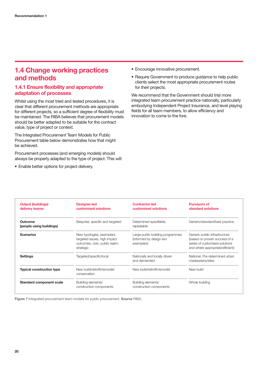## **1.4 Change working practices and methods**

## **1.4.1 Ensure flexibility and appropriate adaptation of processes**

Whilst using the most tried and tested procedures, it is clear that different procurement methods are appropriate for different projects, so a sufficient degree of flexibility must be maintained. The RIBA believes that procurement models should be better adapted to be suitable for the contract value, type of project or context.

The Integrated Procurement Team Models for Public Procurement table below demonstrates how that might be achieved.

Procurement processes (and emerging models) should always be properly adapted to the type of project. This will:

• Enable better options for project delivery.

- Encourage innovative procurement.
- Require Government to produce guidance to help public clients select the most appropriate procurement routes for their projects.

We recommend that the Government should trial more integrated team procurement practice nationally, particularly embodying Independent Project Insurance, and level playing fields for all team members, to allow efficiency and innovation to come to the fore.

| <b>Output (buildings)</b><br>delivery teams: | <b>Designer-led</b><br>customised solutions                                                               | <b>Contractor-led</b><br>customised solutions                             | <b>Purveyors of</b><br>standard solutions                                                                                            |
|----------------------------------------------|-----------------------------------------------------------------------------------------------------------|---------------------------------------------------------------------------|--------------------------------------------------------------------------------------------------------------------------------------|
| Outcome<br>(people using buildings)          | Bespoke, specific and targeted                                                                            | Determined specifiable,<br>repeatable                                     | Generic/standard/best practice                                                                                                       |
| <b>Scenarios</b>                             | New typologies, exemplars,<br>targeted issues, high impact<br>outcomes, civic, public realm,<br>strategic | Large public building programmes<br>(informed by design-led<br>exemplars) | Generic public infrastructure<br>(based on proven success of a<br>series of customised solutions<br>and where appropriate/efficient) |
| <b>Settings</b>                              | Targeted/specific/local                                                                                   | Nationally and locally driven<br>and demanded                             | National. Pre-determined urban<br>masterplans/sites                                                                                  |
| <b>Typical construction type</b>             | New build/retrofit/remodel/<br>conservation                                                               | New build/retrofit/remodel                                                | New build                                                                                                                            |
| <b>Standard component scale</b>              | Building elements/<br>construction components                                                             | Building elements/<br>construction components                             | Whole building                                                                                                                       |

**Figure 7** Integrated procurement team models for public procurement. **Source** RIBA.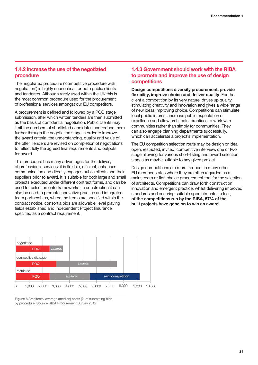## **1.4.2 Increase the use of the negotiated procedure**

The negotiated procedure ('competitive procedure with negotiation') is highly economical for both public clients and tenderers. Although rarely used within the UK this is the most common procedure used for the procurement of professional services amongst our EU competitors.

A procurement is defined and followed by a PQQ stage submission, after which written tenders are then submitted as the basis of confidential negotiation. Public clients may limit the numbers of shortlisted candidates and reduce them further through the negotiation stage in order to improve the award criteria, the understanding, quality and value of the offer. Tenders are revised on completion of negotiations to reflect fully the agreed final requirements and outputs for award.

This procedure has many advantages for the delivery of professional services: it is flexible, efficient, enhances communication and directly engages public clients and their suppliers prior to award. It is suitable for both large and small projects executed under different contract forms, and can be used for selection onto frameworks. In construction it can also be used to promote innovative practice and integrated team partnerships, where the terms are specified within the contract notice, consortia bids are allowable, level playing fields established and Independent Project Insurance specified as a contract requirement.

## **1.4.3 Government should work with the RIBA to promote and improve the use of design competitions**

**Design competitions diversify procurement, provide flexibility, improve choice and deliver quality**. For the client a competition by its very nature, drives up quality, stimulating creativity and innovation and gives a wide range of new ideas improving choice. Competitions can stimulate local public interest, increase public expectation of excellence and allow architects' practices to work with communities rather than simply for communities. They can also engage planning departments successfully, which can accelerate a project's implementation.

The EU competition selection route may be design or idea, open, restricted, invited, competitive interview, one or two stage allowing for various short-listing and award selection stages as maybe suitable to any given project.

Design competitions are more frequent in many other EU member states where they are often regarded as a mainstream or first choice procurement tool for the selection of architects. Competitions can draw forth construction innovation and emergent practice, whilst delivering improved standards and ensuring suitable appointments. In fact, **of the competitions run by the RIBA, 57% of the built projects have gone on to win an award**.



**Figure 8** Architects' average (median) costs (£) of submitting bids by procedure. **Source** RIBA Procurement Survey 2012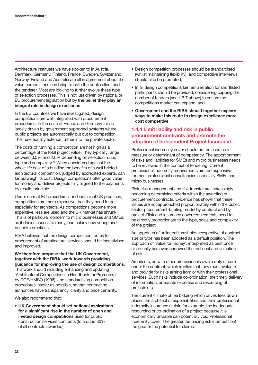Architecture institutes we have spoken to in Austria, Denmark, Germany, Finland, France, Sweden, Switzerland, Norway, Finland and Australia are all in agreement about the value competitions can bring to both the public client and the tenderer. Most are looking to further evolve these type of selection processes. This is not just driven by national or EU procurement legislation but by **the belief they play an integral role in design excellence**.

In the EU countries we have investigated, design competitions are well integrated with procurement procedures. In the case of France and Germany this is largely driven by government supported systems where public projects are automatically put out to competition. Their use equally extends further into the private sector.

The costs of running a competition are not high as a percentage of the total project value. They typically range between 0.5% and 2.0% depending on selection route, type and complexity.<sup>32</sup> When considered against the whole life cost of a building the benefits of a well briefed architectural competition, judged by accredited experts, can far outweigh its cost. Design competitions offer good value for money and deliver projects fully aligned to the payments by results principle.

Under current EU procedures, and inefficient UK practices, competitions are more expensive than they need to be, especially for architects. As competitions become more expensive, less are used and the UK market has shrunk. This is of particular concern to micro businesses and SMEs, as it denies access to many, particularly new young and bespoke practices.

RIBA believes that the design competition routes for procurement of architectural services should be incentivised and improved.

**We therefore propose that the UK Government, together with the RIBA, work towards providing guidance for improving the use of design competitions**. This work should including enhancing and updating 'Architectural Competitions: a Handbook for Promoters' by DOE/HMSO (1996), and standardising competition procedures insofar as possible, so that contracting authorities have transparency, clarity and price certainty.

We also recommend that:

• **UK Government should set national aspirations for a significant rise in the number of open and invited design competitions** used for public construction services contracts (to around 30% of all contracts awarded);

- Design competition processes should be standardised (whilst maintaining flexibility), and competitive interviews should also be promoted;
- In all design competitions fair remuneration for shortlisted participants should be provided, considering capping the number of tenders (see 1.3.7 above) to ensure the competitions market can expand; and
- **Government and the RIBA should together explore ways to make this route to design excellence more cost competitive**.

## **1.4.4 Limit liability and risk in public procurement contracts and promote the adoption of Independent Project Insurance**

Professional indemnity cover should not be used as a measure or determinant of competency. The apportionment of risks and liabilities for SMEs and micro businesses needs to be reviewed in the context of tendering. Current professional indemnity requirements are too expensive for most professional consultancies especially SMEs and micro businesses.

Risk, risk management and risk transfer are increasingly becoming determining criteria within the awarding of procurement contracts. Evidence has shown that these issues are not approached proportionately within the public sector procurement-briefing model by contract and by project. Risk and insurance cover requirements need to be directly proportionate to the type, scale and complexity of the project.

An approach of unilateral thresholds irrespective of contract size or type has been adopted as a default position. The approach of 'value for money', interpreted as best price historically has overshadowed the real cost and valuation of risk.

Architects, as with other professionals owe a duty of care under the contract, which implies that they must evaluate and provide for risks arising from or with their professional services. Such risks include co-ordination, the timely delivery of information, adequate expertise and resourcing of projects etc.

The current climate of fee bidding which drives fees down places the architect's responsibilities and their professional indemnity insurance at risk, for example, the inadequate resourcing or co-ordination of a project because it is economically unviable can potentially void Professional Indemnity cover. The greater the pricing risk (competition) the greater the potential for claims.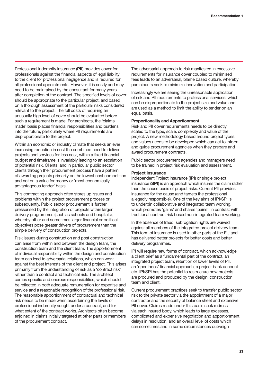Professional indemnity insurance (**PII**) provides cover for professionals against the financial aspects of legal liability to the client for professional negligence and is required for all professional appointments. However, it is costly and may need to be maintained by the consultant for many years after completion of the contract. The specified levels of cover should be appropriate to the particular project, and based on a thorough assessment of the particular risks considered relevant to the project. The full costs of requiring an unusually high level of cover should be evaluated before such a requirement is made. For architects, the 'claims made' basis places financial responsibilities and burdens into the future, particularly where PII requirements are disproportionate to the project.

Within an economic or industry climate that seeks an ever increasing reduction in cost the combined need to deliver projects and services for less cost, within a fixed financial budget and timeframe is invariably leading to an escalation of potential risk. Clients, and in particular public sector clients through their procurement process have a pattern of awarding projects primarily on the lowest cost competition and not on a value for money or 'most economically advantageous tender' basis.

This contracting approach often stores up issues and problems within the project procurement process or subsequently. Public sector procurement is further pressurised by the integration of projects within larger delivery programmes (such as schools and hospitals), whereby other and sometimes larger financial or political objectives pose greater drivers of procurement than the simple delivery of construction projects.

Risk issues during construction and post construction can arise from within and between the design team, the construction team and the client team. The apportionment of individual responsibility within the design and construction team can lead to adversarial relations, which can work against the best interests of the client and project. This arises primarily from the understanding of risk as a 'contract risk' rather than a contract and technical risk. The architect carries specific and onerous responsibilities, which should be reflected in both adequate remuneration for expertise and service and a reasonable recognition of the professional risk. The reasonable apportionment of contractual and technical risk needs to be made when ascertaining the levels of professional indemnity sought under a contract, and for what extent of the contract works. Architects often become enjoined in claims initially targeted at other parts or members of the procurement contract.

The adversarial approach to risk manifested in excessive requirements for insurance cover coupled to minimised fees leads to an adversarial, blame based culture, whereby participants seek to minimize innovation and participation.

Increasingly we are seeing the unreasonable application of risk and PII requirements to professional services, which can be disproportionate to the project size and value and are used as a method to limit the ability to tender on an equal basis.

#### **Proportionality and Apportionment**

Risk and PII cover requirements needs to be directly scaled to the type, scale, complexity and value of the project. A new methodology based around project types and values needs to be developed which can act to inform and guide procurement agencies when they prepare and award procurement contracts.

Public sector procurement agencies and managers need to be trained in project risk evaluation and assessment.

#### **Project Insurance**

Independent Project Insurance (**IPI**) or single project insurance (**SPI**) is an approach which insures the claim rather than the cause basis of project risks. Current PII provides insurance for the cause (and targets the professional allegedly responsible). One of the key aims of IPI/SPI is to underpin collaborative and integrated team working, which promotes 'gains' and shares 'pains', in contrast with traditional contract risk based non-integrated team working.

In the absence of fraud, subrogation rights are waived against all members of the integrated project delivery team. This form of insurance is used in other parts of the EU and has delivered better projects for better costs and better delivery programmes.

IPI will require new forms of contract, which acknowledge a client brief as a fundamental part of the contract, an integrated project team, retention of lower levels of PII, an 'open book' financial approach, a project bank account etc. IPI/SPI has the potential to restructure how projects are procured and produced by the design, construction team and client.

Current procurement practices seek to transfer public sector risk to the private sector via the appointment of a major contractor and the security of balance sheet and extensive PII cover. Claims made under this basis seek redress via each insured body, which leads to large excesses, complicated and expensive negotiation and apportionment, delays in resolution, and an overall level of costs which can sometimes and in some circumstances outweigh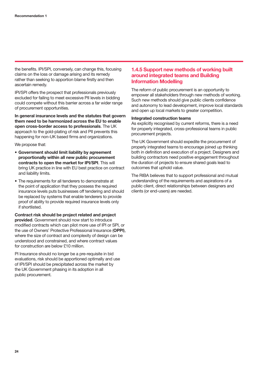the benefits. IPI/SPI, conversely, can change this, focusing claims on the loss or damage arising and its remedy rather than seeking to apportion blame firstly and then ascertain remedy.

IPI/SPI offers the prospect that professionals previously excluded for failing to meet excessive PII levels in bidding could compete without this barrier across a far wider range of procurement opportunities.

**In general insurance levels and the statutes that govern them need to be harmonized across the EU to enable open cross-border access to professionals**. The UK approach to the gold-plating of risk and PII prevents this happening for non-UK based firms and organizations.

We propose that:

- **Government should limit liability by agreement proportionally within all new public procurement contracts to open the market for IPI/SPI**. This will bring UK practice in line with EU best practice on contract and liability limits.
- The requirements for all tenderers to demonstrate at the point of application that they possess the required insurance levels puts businesses off tendering and should be replaced by systems that enable tenderers to provide proof of ability to provide required insurance levels only if shortlisted.

**Contract risk should be project related and project provided**. Government should now start to introduce modified contracts which can pilot more use of IPI or SPI, or the use of Owners' Protective Professional Insurance (**OPPI**), where the size of contract and complexity of design can be understood and constrained, and where contract values for construction are below £10 million.

PI Insurance should no longer be a pre-requisite in bid evaluations, risk should be apportioned optimally and use of IPI/SPI should be precipitated across the market by the UK Government phasing in its adoption in all public procurement.

## **1.4.5 Support new methods of working built around integrated teams and Building Information Modelling**

The reform of public procurement is an opportunity to empower all stakeholders through new methods of working. Such new methods should give public clients confidence and autonomy to lead development, improve local standards and open up local markets to greater competition.

#### **Integrated construction teams**

As explicitly recognised by current reforms, there is a need for properly integrated, cross-professional teams in public procurement projects.

The UK Government should expedite the procurement of properly integrated teams to encourage joined up thinking both in definition and execution of a project. Designers and building contractors need positive engagement throughout the duration of projects to ensure shared goals lead to outcomes that uphold value.

The RIBA believes that to support professional and mutual understanding of the requirements and aspirations of a public client, direct relationships between designers and clients (or end-users) are needed.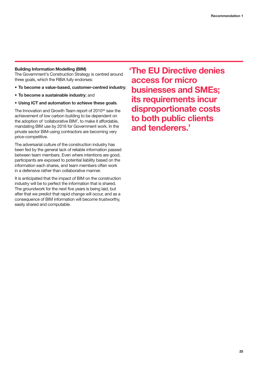### **Building Information Modelling (BIM)**

The Government's Construction Strategy is centred around three goals, which the RIBA fully endorses:

- **To become a value-based, customer-centred industry**;
- **To become a sustainable industry**; and
- **Using ICT and automation to achieve these goals**.

The Innovation and Growth Team report of 2010<sup>33</sup> saw the achievement of low carbon building to be dependent on the adoption of 'collaborative BIM', to make it affordable, mandating BIM use by 2016 for Government work. In the private sector BIM-using contractors are becoming very price-competitive.

The adversarial culture of the construction industry has been fed by the general lack of reliable information passed between team members. Even where intentions are good, participants are exposed to potential liability based on the information each shares, and team members often work in a defensive rather than collaborative manner.

It is anticipated that the impact of BIM on the construction industry will be to perfect the information that is shared. The groundwork for the next five years is being laid, but after that we predict that rapid change will occur, and as a consequence of BIM information will become trustworthy, easily shared and computable.

**'The EU Directive denies access for micro businesses and SMEs; its requirements incur disproportionate costs to both public clients and tenderers.'**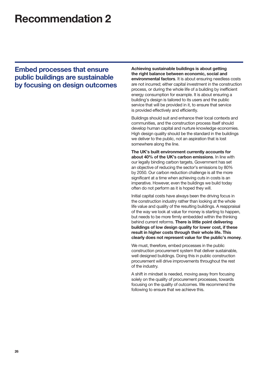## **Recommendation 2**

## **Embed processes that ensure public buildings are sustainable by focusing on design outcomes**

**Achieving sustainable buildings is about getting the right balance between economic, social and environmental factors**. It is about ensuring needless costs are not incurred; either capital investment in the construction process, or during the whole life of a building by inefficient energy consumption for example. It is about ensuring a building's design is tailored to its users and the public service that will be provided in it, to ensure that service is provided effectively and efficiently.

Buildings should suit and enhance their local contexts and communities, and the construction process itself should develop human capital and nurture knowledge economies. High design quality should be the standard in the buildings we deliver to the public, not an aspiration that is lost somewhere along the line.

**The UK's built environment currently accounts for about 40% of the UK's carbon emissions**. In line with our legally binding carbon targets, Government has set an objective of reducing the sector's emissions by 80% by 2050. Our carbon reduction challenge is all the more significant at a time when achieving cuts in costs is an imperative. However, even the buildings we build today often do not perform as it is hoped they will.

Initial capital costs have always been the driving focus in the construction industry rather than looking at the whole life value and quality of the resulting buildings. A reappraisal of the way we look at value for money is starting to happen, but needs to be more firmly embedded within the thinking behind current reforms. **There is little point delivering buildings of low design quality for lower cost, if these result in higher costs through their whole life. This clearly does not represent value for the public's money**.

We must, therefore, embed processes in the public construction procurement system that deliver sustainable, well designed buildings. Doing this in public construction procurement will drive improvements throughout the rest of the industry.

A shift in mindset is needed, moving away from focusing solely on the quality of procurement processes, towards focusing on the quality of outcomes. We recommend the following to ensure that we achieve this.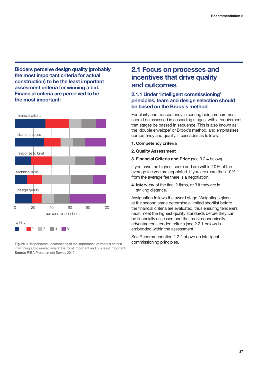**Bidders perceive design quality (probably the most important criteria for actual construction) to be the least important assesment criteria for winning a bid. Financial criteria are perceived to be the most important:**



**Figure 9** Respondents' perceptions of the importance of various criteria in winning a bid ranked where 1 is most important and 5 is least important. **Source** RIBA Procurement Survey 2012.

## **2.1 Focus on processes and incentives that drive quality and outcomes**

## **2.1.1 Under 'intelligent commissioning' principles, team and design selection should be based on the Brook's method**

For clarity and transparency in scoring bids, procurement should be assessed in cascading stages, with a requirement that stages be passed in sequence. This is also known as the 'double envelope' or Brook's method, and emphasises competency and quality. It cascades as follows:

- **1. Competency criteria**
- **2. Quality Assessment**

### **3. Financial Criteria and Price** (see 3.2.4 below)

If you have the highest score and are within 10% of the average fee you are appointed. If you are more than 10% from the average fee there is a negotiation.

**4. Interview** of the final 2 firms, or 3 if they are in striking distance.

Assignation follows the award stage. Weightings given at the second stage determine a limited shortlist before the financial criteria are evaluated, thus ensuring tenderers must meet the highest quality standards before they can be financially assessed and the 'most economically advantageous tender' criteria (see 2.2.1 below) is embedded within the assessment.

See Recommendation 1.2.2 above on intelligent commissioning principles.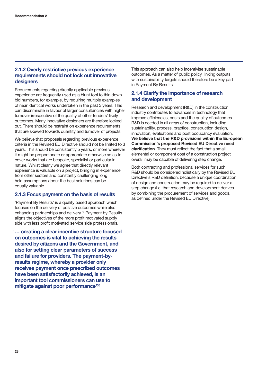## **2.1.2 Overly restrictive previous experience requirements should not lock out innovative designers**

Requirements regarding directly applicable previous experience are frequently used as a blunt tool to thin down bid numbers, for example, by requiring multiple examples of near identical works undertaken in the past 3 years. This can discriminate in favour of larger consultancies with higher turnover irrespective of the quality of other tenders' likely outcomes. Many innovative designers are therefore locked out. There should be restraint on experience requirements that are skewed towards quantity and turnover of projects.

We believe that proposals regarding previous experience criteria in the Revised EU Directive should not be limited to 3 years. This should be consistently 5 years, or more wherever it might be proportionate or appropriate otherwise so as to cover works that are bespoke, specialist or particular in nature. Whilst clearly we agree that directly relevant experience is valuable on a project, bringing in experience from other sectors and constantly challenging long held assumptions about the best solutions can be equally valuable.

## **2.1.3 Focus payment on the basis of results**

'Payment By Results' is a quality based approach which focuses on the delivery of positive outcomes while also enhancing partnerships and delivery.34 Payment by Results aligns the objectives of the more profit motivated supply side with less profit motivated service side professionals.

**'… creating a clear incentive structure focused on outcomes is vital to achieving the results desired by citizens and the Government, and also for setting clear parameters of success and failure for providers. The payment-byresults regime, whereby a provider only receives payment once prescribed outcomes have been satisfactorily achieved, is an important tool commissioners can use to mitigate against poor performance'35**

This approach can also help incentivise sustainable outcomes. As a matter of public policy, linking outputs with sustainability targets should therefore be a key part in Payment By Results.

## **2.1.4 Clarify the importance of research and development**

Research and development (R&D) in the construction industry contributes to advances in technology that improve efficiencies, costs and the quality of outcomes. R&D is needed in all areas of construction, including sustainability, process, practice, construction design, innovation, evaluations and post occupancy evaluation. **We believe that the R&D provisions within the European Commission's proposed Revised EU Directive need clarification**. They must reflect the fact that a small elemental or component cost of a construction project overall may be capable of delivering step change.

Both contracting and professional services for such R&D should be considered holistically by the Revised EU Directive's R&D definition, because a unique coordination of design and construction may be required to deliver a step change (i.e. that research and development derives by combining the procurement of services and goods, as defined under the Revised EU Directive).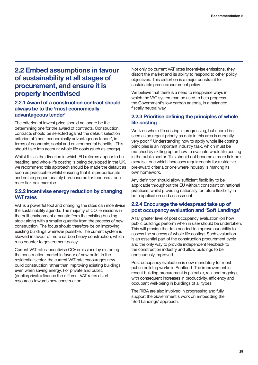## **2.2 Embed assumptions in favour of sustainability at all stages of procurement, and ensure it is properly incentivised**

## **2.2.1 Award of a construction contract should always be to the 'most economically advantageous tender'**

The criterion of lowest price should no longer be the determining one for the award of contracts. Construction contracts should be selected against the default selection criterion of 'most economically advantageous tender', in terms of economic, social and environmental benefits'. This should take into account whole life costs (such as energy).

Whilst this is the direction in which EU reforms appear to be heading, and whole life costing is being developed in the UK, we recommend this approach should be made the default as soon as practicable whilst ensuring that it is proportionate and not disproportionately burdensome for tenderers, or a mere tick box exercise.

## **2.2.2 Incentivise energy reduction by changing VAT rates**

VAT is a powerful tool and changing the rates can incentivise the sustainability agenda. The majority of CO<sub>2</sub> emissions in the built environment emanate from the existing building stock along with a smaller quantity from the process of new construction. The focus should therefore be on improving existing buildings wherever possible. The current system is skewed in favour of more carbon heavy construction, which runs counter to government policy.

Current VAT rates incentivise CO2 emissions by distorting the construction market in favour of new build. In the residential sector, the current VAT rate encourages new build construction rather than improving existing buildings, even when saving energy. For private and public (public/private) finance the different VAT rates divert resources towards new construction.

Not only do current VAT rates incentivise emissions, they distort the market and its ability to respond to other policy objectives. This distortion is a major constraint for sustainable green procurement policy.

We believe that there is a need to reappraise ways in which the VAT system can be used to help progress the Government's low carbon agenda, in a balanced, fiscally neutral way.

## **2.2.3 Prioritise defining the principles of whole life costing**

Work on whole life costing is progressing, but should be seen as an urgent priority as data in this area is currently very poor.<sup>36</sup> Understanding how to apply whole life costing principles is an important industry task, which must be matched by skilling up on how to evaluate whole life costing in the public sector. This should not become a mere tick box exercise, one which increases requirements for restrictive pre-award criteria or one where industry is marking its own homework.

Any definition should allow sufficient flexibility to be applicable throughout the EU without constraint on national practices; whilst providing nationally for future flexibility in both application and assessment.

## **2.2.4 Encourage the widespread take up of post occupancy evaluation and 'Soft Landings'**

A far greater level of post occupancy evaluation (on how public buildings perform when in use) should be undertaken. This will provide the data needed to improve our ability to assess the success of whole life costing. Such evaluation is an essential part of the construction procurement cycle and the only way to provide independent feedback to the construction industry and allow buildings to be continuously improved.

Post occupancy evaluation is now mandatory for most public building works in Scotland. The improvement in recent building procurement is palpable, real and ongoing, with consequent increases in productivity, efficiency and occupant well-being in buildings of all types.

The RIBA are also involved in progressing and fully support the Government's work on embedding the 'Soft Landings' approach.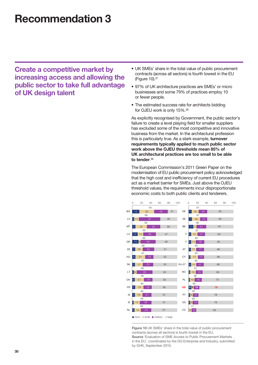## **Recommendation 3**

**Create a competitive market by increasing access and allowing the public sector to take full advantage of UK design talent**

- UK SMEs' share in the total value of public procurement contracts (across all sectors) is fourth lowest in the EU (Figure 10).37
- 97% of UK architecture practices are SMEs' or micro businesses and some 79% of practices employ 10 or fewer people.
- The estimated success rate for architects bidding for OJEU work is only 15%.38

As explicitly recognised by Government, the public sector's failure to create a level playing field for smaller suppliers has excluded some of the most competitive and innovative business from the market. In the architectural profession this is particularly true. As a stark example, **turnover requirements typically applied to much public sector work above the OJEU thresholds mean 85% of UK architectural practices are too small to be able to tender**. 39

The European Commission's 2011 Green Paper on the modernisation of EU public procurement policy acknowledged that the high cost and inefficiency of current EU procedures act as a market barrier for SMEs. Just above the OJEU threshold values, the requirements incur disproportionate economic costs to both public clients and tenderers.



**Figure 10** UK SMEs' share in the total value of public procurement contracts (across all sectors) is fourth lowest in the EU. **Source** 'Evaluation of SME Access to Public Procurement Markets in the EU', coordinated by the DG Enterprise and Industry, submitted by GHK, September 2010.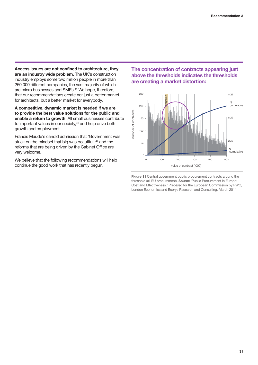**Access issues are not confined to architecture, they are an industry wide problem**. The UK's construction industry employs some two million people in more than 250,000 different companies, the vast majority of which are micro businesses and SMEs.40 We hope, therefore, that our recommendations create not just a better market for architects, but a better market for everybody.

**A competitive, dynamic market is needed if we are to provide the best value solutions for the public and enable a return to growth**. All small businesses contribute to important values in our society,<sup>41</sup> and help drive both growth and employment.

Francis Maude's candid admission that 'Government was stuck on the mindset that big was beautiful',<sup>42</sup> and the reforms that are being driven by the Cabinet Office are very welcome.

We believe that the following recommendations will help continue the good work that has recently begun.

**The concentration of contracts appearing just above the thresholds indicates the thresholds are creating a market distortion:**



**Figure 11** Central government public procurement contracts around the threshold (all EU procurement). **Source** 'Public Procurement in Europe: Cost and Effectiveness.' Prepared for the European Commission by PWC, London Economics and Ecorys Research and Consulting, March 2011.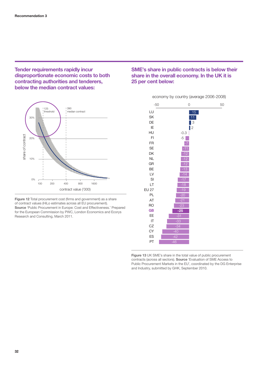**Tender requirements rapidly incur disproportionate economic costs to both contracting authorities and tenderers, below the median contract values:**



**Figure 12** Total procurement cost (firms and government) as a share of contract values (HiLo estimates across all EU procurement). **Source** 'Public Procurement in Europe: Cost and Effectiveness.' Prepared for the European Commission by PWC, London Economics and Ecorys Research and Consulting, March 2011.

## **SME's share in public contracts is below their share in the overall economy. In the UK it is 25 per cent below:**

### economy by country (average 2006-2008)



**Figure 13** UK SME's share in the total value of public procurement contracts (across all sectors). **Source** 'Evaluation of SME Access to Public Procurement Markets in the EU', coordinated by the DG Enterprise and Industry, submitted by GHK, September 2010.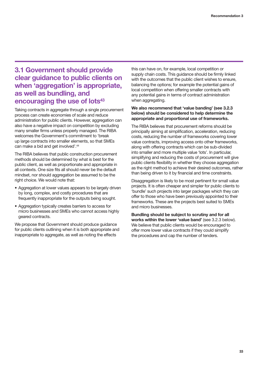## **3.1 Government should provide clear guidance to public clients on when 'aggregation' is appropriate, as well as bundling, and encouraging the use of lots<sup>43</sup>**

Taking contracts in aggregate through a single procurement process can create economies of scale and reduce administration for public clients. However, aggregation can also have a negative impact on competition by excluding many smaller firms unless properly managed. The RIBA welcomes the Government's commitment to 'break up large contracts into smaller elements, so that SMEs can make a bid and get involved'.<sup>44</sup>

The RIBA believes that public construction procurement methods should be determined by what is best for the public client, as well as proportionate and appropriate in all contexts. One size fits all should never be the default mindset, nor should aggregation be assumed to be the right choice. We would note that:

- Aggregation at lower values appears to be largely driven by long, complex, and costly procedures that are frequently inappropriate for the outputs being sought.
- Aggregation typically creates barriers to access for micro businesses and SMEs who cannot access highly geared contracts.

We propose that Government should produce guidance for public clients outlining when it is both appropriate and inappropriate to aggregate, as well as noting the effects

this can have on, for example, local competition or supply chain costs. This guidance should be firmly linked with the outcomes that the public client wishes to ensure, balancing the options; for example the potential gains of local competition when offering smaller contracts with any potential gains in terms of contract administration when aggregating.

### **We also recommend that 'value banding' (see 3.2.3 below) should be considered to help determine the appropriate and proportional use of frameworks.**

The RIBA believes that procurement reforms should be principally aiming at simplification, acceleration, reducing costs, reducing the number of frameworks covering lower value contracts, improving access onto other frameworks, along with offering contracts which can be sub-divided into smaller and more multiple value 'lots'. In particular, simplifying and reducing the costs of procurement will give public clients flexibility in whether they choose aggregation as the right method to achieve their desired outcomes, rather than being driven to it by financial and time constraints.

Disaggregation is likely to be most pertinent for small value projects. It is often cheaper and simpler for public clients to 'bundle' such projects into larger packages which they can offer to those who have been previously appointed to their frameworks. These are the projects best suited to SMEs and micro businesses.

**Bundling should be subject to scrutiny and for all works within the lower 'value band'** (see 3.2.3 below). We believe that public clients would be encouraged to offer more lower value contracts if they could simplify the procedures and cap the number of tenders.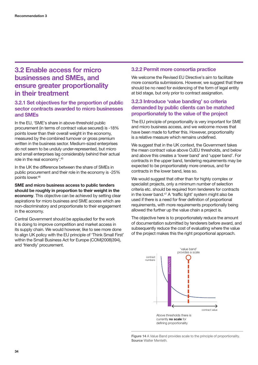## **3.2 Enable access for micro businesses and SMEs, and ensure greater proportionality in their treatment**

## **3.2.1 Set objectives for the proportion of public sector contracts awarded to micro businesses and SMEs**

In the EU, 'SME's share in above-threshold public procurement (in terms of contract value secured) is -18% points lower than their overall weight in the economy, measured by the combined turnover or gross premium written in the business sector. Medium-sized enterprises do not seem to be unduly under-represented, but micro and small enterprises lag considerably behind their actual role in the real economy'.45

In the UK the difference between the share of SMEs in public procurement and their role in the economy is -25% points lower.46

**SME and micro business access to public tenders should be roughly in proportion to their weight in the economy**. This objective can be achieved by setting clear aspirations for micro business and SME access which are non-discriminatory and proportionate to their engagement in the economy.

Central Government should be applauded for the work it is doing to improve competition and market access in its supply chain. We would however, like to see more done to align UK policy with the EU principle of 'Think Small First' within the Small Business Act for Europe (COM(2008)394), and 'friendly' procurement.

## **3.2.2 Permit more consortia practice**

We welcome the Revised EU Directive's aim to facilitate more consortia submissions. However, we suggest that there should be no need for evidencing of the form of legal entity at bid stage, but only prior to contract assignation.

## **3.2.3 Introduce 'value banding' so criteria demanded by public clients can be matched proportionately to the value of the project**

The EU principle of proportionality is very important for SME and micro business access, and we welcome moves that have been made to further this. However, proportionality is a relative measure which remains undefined.

We suggest that in the UK context, the Government takes the mean contract value above OJEU thresholds, and below and above this creates a 'lower band' and 'upper band'. For contracts in the upper band, tendering requirements may be expected to be proportionately more onerous, and for contracts in the lower band, less so.

We would suggest that other than for highly complex or specialist projects, only a minimum number of selection criteria etc. should be required from tenderers for contracts in the lower band.47 A 'traffic light' system might also be used if there is a need for finer definition of proportional requirements, with more requirements proportionally being allowed the further up the value chain a project is.

The objective here is to proportionately reduce the amount of documentation submitted by tenderers before award, and subsequently reduce the cost of evaluating where the value of the project makes this the right proportional approach.



Fiaure 14 A Value Band provides scale to the principle of proportionality. **Source** Walter Menteth.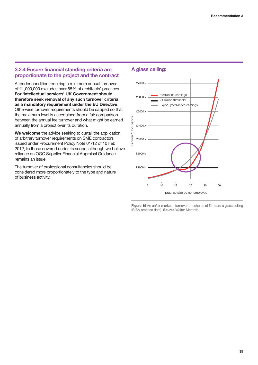## **3.2.4 Ensure financial standing criteria are proportionate to the project and the contract**

A tender condition requiring a minimum annual turnover of £1,000,000 excludes over 85% of architects' practices. **For 'intellectual services' UK Government should therefore seek removal of any such turnover criteria as a mandatory requirement under the EU Directive**. Otherwise turnover requirements should be capped so that the maximum level is ascertained from a fair comparison between the annual fee turnover and what might be earned annually from a project over its duration.

**We welcome** the advice seeking to curtail the application of arbitrary turnover requirements on SME contractors issued under Procurement Policy Note 01/12 of 10 Feb 2012, to those covered under its scope, although we believe reliance on OGC Supplier Financial Appraisal Guidance remains an issue.

The turnover of professional consultancies should be considered more proportionately to the type and nature of business activity.

### **A glass ceiling:**



**Figure 15** An unfair market – turnover thresholds of £1m are a glass ceiling (RIBA practice data). **Source** Walter Menteth.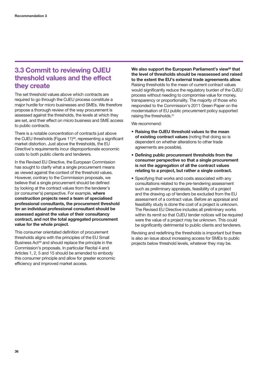## **3.3 Commit to reviewing OJEU threshold values and the effect they create**

The set threshold values above which contracts are required to go through the OJEU process constitute a major hurdle for micro businesses and SMEs. We therefore propose a thorough review of the way procurement is assessed against the thresholds, the levels at which they are set, and their effect on micro business and SME access to public contracts.

There is a notable concentration of contracts just above the OJEU thresholds (Figure 11)<sup>48</sup>, representing a significant market distortion. Just above the thresholds, the EU Directive's requirements incur disproportionate economic costs to both public clients and tenderers.

In the Revised EU Directive, the European Commission has sought to clarify what a single procurement means as viewed against the context of the threshold values. However, contrary to the Commission proposals, we believe that a single procurement should be defined by looking at the contract values from the tenderer's (or consumer's) perspective. For example, **where construction projects need a team of specialised professional consultants, the procurement threshold for an individual professional consultant should be assessed against the value of their consultancy contract, and not the total aggregated procurement value for the whole project**.

This consumer orientated definition of procurement thresholds aligns with the principles of the EU Small Business Act<sup>49</sup> and should replace the principle in the Commission's proposals. In particular Recital 4 and Articles 1, 2, 5 and 15 should be amended to embody this consumer principle and allow for greater economic efficiency and improved market access.

We also support the European Parliament's view<sup>50</sup> that **the level of thresholds should be reassessed and raised to the extent the EU's external trade agreements allow**. Raising thresholds to the mean of current contract values would significantly reduce the regulatory burden of the OJEU process without needing to compromise value for money, transparency or proportionality. The majority of those who responded to the Commission's 2011 Green Paper on the modernisation of EU public procurement policy supported raising the thresholds.<sup>51</sup>

We recommend:

- **Raising the OJEU threshold values to the mean of existing contract values** (noting that doing so is dependent on whether alterations to other trade agreements are possible).
- **Defining public procurement thresholds from the consumer perspective so that a single procurement is not the aggregation of all the contract values relating to a project, but rather a single contract.**
- Specifying that works and costs associated with any consultations related to the pre-tendering assessment such as preliminary appraisals, feasibility of a project and the drawing up of tenders be excluded from the EU assessment of a contract value. Before an appraisal and feasibility study is done the cost of a project is unknown. The Revised EU Directive includes all preliminary works within its remit so that OJEU tender notices will be required were the value of a project may be unknown. This could be significantly detrimental to public clients and tenderers.

Revising and redefining the thresholds is important but there is also an issue about increasing access for SMEs to public projects below threshold levels, whatever they may be.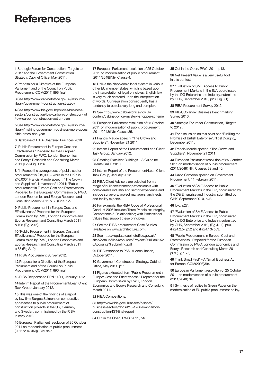## **References**

**1** [Strategic Forum for Construction, 'Targets to](http://www.cabinetoffice.gov.uk/sites/default/files/resources/Government-Construction-Strategy.pdf) [2012' and the Government Construction](http://www.cic.org.uk/strategicforum/pdf/targets.pdf) Strategy, Cabinet Office, May 2011.

**2** [Proposal for a Directive of the European](http://ec.europa.eu/internal_market/publicprocurement/docs/modernising_rules/COM2011_896_en.pdf) Parliament and of the Council on Public Procurement. COM(2011) 896 final.

**3** [See http://www.cabinetoffice.gov.uk/resource](http://www.cabinetoffice.gov.uk/resource-library/government-construction-strategy)library/government-construction-strategy

**4** See http://www.bis.gov.uk/policies/business[sectors/construction/low-carbon-construction-igt](http://www.bis.gov.uk/policies/business-sectors/construction/low-carbon-construction-igt/low-carbon-construction-action-plan) /low-carbon-construction-action-plan

**5** See http://www.cabinetoffice.gov.uk/resource[library/making-government-business-more-acces](http://www.cabinetoffice.gov.uk/resource-library/making-government-business-more-accessible-smes-one-year) sible-smes-one-year

**6** Database of RIBA Chartered Practices 2010.

**7** 'Public Procurement in Europe: Cost and [Effectiveness.' Prepared for the European](http://ec.europa.eu/internal_market/publicprocurement/docs/modernising_rules/cost-effectiveness_en.pdf) Commission by PWC, London Economics and Ecorys Research and Consulting March 2011 p.29 (Fig. 1.23).

**8** "In France the average cost of public sector procurement is £19,000 – while in the UK it is [£46,000" Francis Maude speech, "The Crown](http://www.cabinetoffice.gov.uk/news/crown-and-suppliers-new-way-working) and Suppliers", November 21 2011[; 'Public](http://ec.europa.eu/internal_market/publicprocurement/docs/modernising_rules/cost-effectiveness_en.pdf) [procurement in Europe: Cost and Effectiveness.'](http://ec.europa.eu/internal_market/publicprocurement/docs/modernising_rules/cost-effectiveness_en.pdf) Prepared for the European Commission by PWC, London Economics and Ecorys Research and Consulting March 2011 p.88 (Fig 2.12).

**9** 'Public Procurement in Europe: Cost and [Effectiveness.' Prepared for the European](http://ec.europa.eu/internal_market/publicprocurement/docs/modernising_rules/cost-effectiveness_en.pdf) Commission by PWC, London Economics and Ecorys Research and Consulting March 2011 p.105 (Fig. 2.46).

**10** 'Public Procurement in Europe: Cost and [Effectiveness.' Prepared for the European](http://ec.europa.eu/internal_market/publicprocurement/docs/modernising_rules/cost-effectiveness_en.pdf) Commission by PWC, London Economics and Ecorys Research and Consulting March 2011 p.88 (Fig 2.12).

**11** RIBA Procurement Survey 2012.

**12** [Proposal for a Directive of the European](http://ec.europa.eu/internal_market/publicprocurement/docs/modernising_rules/COM2011_896_en.pdf) Parliament and of the Council on Public Procurement. COM(2011) 896 final.

**13** [RIBA Response to PPN 11/11, January 2012.](http://www.architecture.com/Files/RIBAHoldings/PolicyAndInternationalRelations/Policy/SmartPFI/RIBAResponsetoProcurementPolicyNote11.pdf)

**14** [Interim Report of the Procurement/Lean Client](https://update.cabinetoffice.gov.uk/sites/default/files/resources/Procurement Lean Client Group Report Jan 2012_0.pdf) Task Group, January 2012.

**15** This was one of the findings of a report by law firm Burges Salmon, on comparative approaches to public procurement of construction projects in the UK, Germany and Sweden, commissioned by the RIBA in early 2012.

**16** European Parliament resolution of 25 October [2011 on modernisation of public procurement](http://www.europarl.europa.eu/sides/getDoc.do?type=TA&reference=P7-TA-2011-0454&language=EN) (2011/2048(INI)). Clause 5.

**17** European Parliament resolution of 25 October [2011 on modernisation of public procurement](http://www.europarl.europa.eu/sides/getDoc.do?type=TA&reference=P7-TA-2011-0454&language=EN) (2011/2048(INI)), Clause 4.

**18** Unlike the Napoleonic legal system in various other EU member states, which is based upon the interpretation of legal principles, English law is very much centered upon the interpretation of words. Our regulation consequently has a tendency to be relatively long and complex.

**19** See http://www.cabinetoffice.gov.uk/ [content/cabinet-office-mystery-shopper-scheme](http://www.cabinetoffice.gov.uk/content/cabinet-office-mystery-shopper-scheme) 

**20** European Parliament resolution of 25 October [2011 on modernisation of public procurement](http://www.europarl.europa.eu/sides/getDoc.do?type=TA&reference=P7-TA-2011-0454&language=EN) (2011/2048(INI)). Clause 35.

**21** [Francis Maude speech, "The Crown and](http://www.cabinetoffice.gov.uk/news/crown-and-suppliers-new-way-working) Suppliers", November 21 2011.

**22** [Interim Report of the Procurement/Lean Client](https://update.cabinetoffice.gov.uk/sites/default/files/resources/Procurement Lean Client Group Report Jan 2012_0.pdf) Task Group, January 2012.

**23** [Creating Excellent Buildings – A Guide for](http://webarchive.nationalarchives.gov.uk/20110118095356/http:/www.cabe.org.uk/files/creating-excellent-buildings.pdf) Clients CABE 2010.

24 [Interim Report of the Procurement/Lean Client](https://update.cabinetoffice.gov.uk/sites/default/files/resources/Procurement Lean Client Group Report Jan 2012_0.pdf) Task Group, January 2012.

**25** RIBA Client Advisers are selected from a range of built environment professionals with [considerable industry and sector experience and](http://www.architecture.com/UseAnArchitect/FindAnArchitect/CDADirectories/ClientDesignAdvisors.aspx) include surveyors, project managers, architects and facility experts.

**26** For example, the RIBA Code of Professional Conduct 2005 includes Three Principles: Integrity, Competence & Relationships; with Professional Values that support these principles.

**27** See the RIBA procurement Case Studies (available on [www.architecture.com\).](http://www.architecture.com)

**28** See https://update.cabinetoffice.gov.uk/ [sites/default/files/resources/Project%20Bank%2](https://update.cabinetoffice.gov.uk/sites/default/files/resources/Project%20Bank%20Accounts%20briefing.pdf) 0Accounts%20briefing.pdf

**29** [RIBA response to PAS 91 consultation,](http://www.architecture.com/Files/RIBAProfessionalServices/Practice/MicrosoftWord-RIBAresponsetoconsultationonPublicAvailableSpecificationPAS91.pdf) October 2011.

**30** [Government Construction Strategy, Cabinet](http://www.cabinetoffice.gov.uk/sites/default/files/resources/Government-Construction-Strategy.pdf) Office, May 2011, p11.

**31** Figures extracted from 'Public Procurement in [Europe: Cost and Effectiveness.' Prepared for the](http://ec.europa.eu/internal_market/publicprocurement/docs/modernising_rules/cost-effectiveness_en.pdf) European Commission by PWC, London Economics and Ecorys Research and Consulting March 2011.

**32** RIBA Competitions.

**33** http://www.bis.gov.uk/assets/biscore/ [business-sectors/docs/l/10-1266-low-carbon](http://www.bis.gov.uk/assets/biscore/business-sectors/docs/l/10-1266-low-carbon-construction-IGT-final-report)construction-IGT-final-report

**34** [Out in the Open, PWC, 2011, p18.](http://www.pwc.co.uk/en_UK/uk/assets/pdf/out-in-the-open.pdf)

**35** [Out in the Open, PWC, 2011, p18.](http://www.pwc.co.uk/en_UK/uk/assets/pdf/out-in-the-open.pdf)

**36** Net Present Value is a very useful tool in this context.

**37** 'Evaluation of SME Access to Public Procurement Markets in the EU', coordinated by the DG Enterprise and Industry, submitted by GHK, September 2010, p23 (Fig 3.1).

**38** RIBA Procurement Survey 2012.

**39** RIBA/Colander Business Benchmarking Survey 2010.

**40** [Strategic Forum for Construction, 'Targets](http://www.cic.org.uk/strategicforum/pdf/targets.pdf)  to 2012'.

**41** For discussion on this point see 'Fulfilling the [Promise of British Enterprise', Nigel Doughty,](http://www.labour.org.uk/uploads/5c176b69-38c4-19b4-05d0-ff3eae06b37d.pdf) December 2011.

**42** [Francis Maude speech, "The Crown and](http://www.cabinetoffice.gov.uk/news/crown-and-suppliers-new-way-working) Suppliers", November 21 2011.

**43** European Parliament resolution of 25 October 2011 on modernisation of public procurement (2011/2048(INI)), Clauses 39 and 40.

**44** [David Cameron speech on Government](http://www.number10.gov.uk/news/pm-speech-on-government-procurement/) Procurement, 11 February 2011.

**45** 'Evaluation of SME Access to Public [Procurement Markets in the EU', coordinated by](http://ec.europa.eu/enterprise/policies/sme/business-environment/files/smes_access_to_public_procurement_final_report_2010_en.pdf) the DG Enterprise and Industry, submitted by GHK, September 2010, p42.

#### **46** Ibid. p27.

**47** 'Evaluation of SME Access to Public [Procurement Markets in the EU', coordinated](http://ec.europa.eu/enterprise/policies/sme/business-environment/files/smes_access_to_public_procurement_final_report_2010_en.pdf)  by the DG Enterprise and Industry, submitted by GHK, September 2010, (Fig 4.11), p50, (Fig 4.2.5), p52 and (Fig 4.13) p53.

**48** 'Public Procurement in Europe: Cost and [Effectiveness.' Prepared for the European](http://ec.europa.eu/internal_market/publicprocurement/docs/modernising_rules/cost-effectiveness_en.pdf) Commission by PWC, London Economics and Ecorys Research and Consulting March 2011 p69 (Fig 1.75).

**49** [Think Small First' – A 'Small Business Act'](http://europa.eu/legislation_summaries/enterprise/business_environment/et0001_en.htm)  for Europe, COM(2008)394.

**50** European Parliament resolution of 25 October [2011 on modernisation of public procurement](http://www.europarl.europa.eu/sides/getDoc.do?type=TA&reference=P7-TA-2011-0454&language=EN) (2011/2048(INI)).

**51** Synthesis of replies to Green Paper on the modernisation of EU public procurement policy.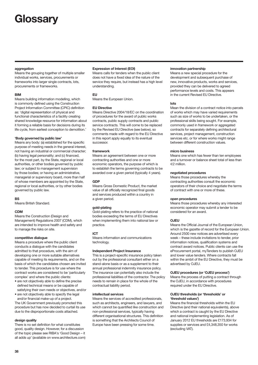## **Glossary**

#### **aggregation**

Means the grouping together of multiple smaller individual works, services, procurements or frameworks into larger single contracts, lots, procurements or frameworks.

#### **BIM**

Means building information modelling, which is commonly defined using the Construction Project Information Committee (CPIC) definition as: 'digital representation of physical and functional characteristics of a facility creating shared knowledge resource for information about it forming a reliable basis for decisions during its life cycle, from earliest conception to demolition.'

#### **'Body governed by public law'**

Means any body: (a) established for the specific purpose of meeting needs in the general interest, not having an industrial or commercial character; (b) having legal personality; and (c) financed, for the most part, by the State, regional or local authorities, or other bodies governed by public law; or subject to management supervision by those bodies; or having an administrative, managerial or supervisory board, more than half of whose members are appointed by the State, regional or local authorities, or by other bodies governed by public law.

#### **BS**

Means British Standard.

#### **CDM**

Means the Construction (Design and Management) Regulations 2007 (CDM), which are intended to improve health and safety and to manage the risks on site.

#### **competitive dialogue**

Means a procedure where the public client conducts a dialogue with the candidates admitted to that procedure, with the aim of developing one or more suitable alternatives capable of meeting its requirements, and on the basis of which the candidates chosen are invited to tender. This procedure is for use where the contract works are considered to be 'particularly complex' and where the public clients:

- are not objectively able to define the precise defined technical means or be capable of satisfying their own needs or objectives, and/or
- are not objectively able to specify the legal and/or financial make-up of a project.

The UK Government previously promoted this procedure but has now decided to curtail its use due to the disproportionate costs attached.

#### **design quality**

There is no set definition for what constitutes good, quality design. However, for a discussion of the topic please see RIBA's 'Good Design – it all adds up' (available on [www.architecture.com\)](http://www.architecture.com)

#### **Expression of Interest (EOI)**

Means calls for tenders when the public client does not have a fixed idea of the nature of the service they require, but instead has a high level understanding.

#### **EU**

Means the European Union.

#### **EU Directive**

Means Directive 2004/18/EC on the coordination of procedures for the award of public works contracts, public supply contracts and public service contracts. This will come to be replaced by the Revised EU Directive (see below), so comments made with regard to the EU Directive in this report apply equally to its eventual successor.

#### **framework**

Means an agreement between one or more contracting authorities and one or more economic operators, the purpose of which is to establish the terms governing contracts to be awarded over a given period (typically 4 years).

#### **GDP**

Means Gross Domestic Product, the market value of all officially recognized final goods and services produced within a country in a given period.

#### **gold-plating**

Gold-plating refers to the practice of national bodies exceeding the terms of EU Directives when implementing them into national law or practice.

#### **ICT**

Means information and communications technology.

#### **Independent Project Insurance**

This is a project-specific insurance policy taken out by the professional consultant either on a stand-alone basis or as a supplement to their annual professional indemnity insurance policy. The insurance can potentially also include the professional liabilities of the contractor. The policy needs to remain in place for the whole of the contractual liability period.

#### **intellectual services**

Means the services of accredited professionals, such as architects, engineers, and lawyers, and which cannot be quantified like construction and non-professional services, typically having different organisational structures. This definition is something that the Architects Council of Europe have been pressing for some time.

#### **innovation partnership**

Means a new special procedure for the development and subsequent purchase of new, innovative products, works and services, provided they can be delivered to agreed performance levels and costs. This appears in the current Revised EU Directive.

#### **lots**

Mean the division of a contract notice into parcels of works which may have varied requirements such as size of works to be undertaken, or the professional skills being sought. For example, commonly used in framework or aggregated contracts for separately defining architectural services, project management, construction services etc. or for where works might range between different construction values.

#### **micro business**

Means one which has fewer than ten employees and a turnover or balance sheet total of less than €2 million.

#### **negotiated procedures**

Means those procedures whereby the contracting authorities consult the economic operators of their choice and negotiate the terms of contract with one or more of these.

#### **open procedures**

Means those procedures whereby any interested economic operator may submit a tender to be considered for an award.

#### **OJEU**

Means the Official Journal of the European Union, which is the gazette of record for the European Union. Around 2500 new notices are advertised every week – these include invitations to tender, prior information notices, qualification systems and contract award notices. Public clients can use the eProcurement portal, myTenders to publish OJEU and lower value tenders. Where contracts fall within the ambit of the EU Directive, they must be advertised by OJEU.

#### **OJEU procedures (or 'OJEU process')**

Means the process of putting a contract through the OJEU, in accordance with procedures required under the EU Directive.

#### **OJEU thresholds (or 'thresholds' or 'threshold values')**

Means the financial thresholds within the EU Directive (and their national equivalents), above which a contract is caught by the EU Directive and national implementing legislation. As of January 2012 EU thresholds are £173,934 for supplies or services and £4,348,350 for works (excluding VAT).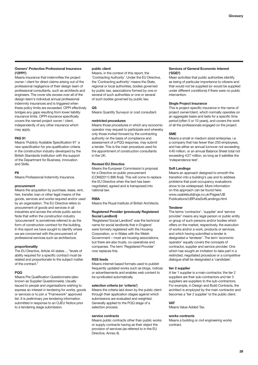#### **Owners' Protective Professional Insurance ('OPPI')**

Means insurance that indemnifies the project owner / client for direct claims arising out of the professional negligence of their design team of professional consultants, such as architects and engineers. The cover sits excess over all of the design team's individual annual professional indemnity insurances and is triggered when these policy limits are exceeded. OPPI effectively bridges any gaps resulting from lower liability insurance limits. OPPI insurance specifically covers the named project owner / client, independently of any other insurance which may apply.

#### **PAS 91**

Means 'Publicly Available Specification 91' a new specification for pre-qualification criteria in the construction industry developed by the British Standards Institution with the support of the Department for Business, Innovation and Skills.

#### **PII**

Means Professional Indemnity Insurance.

#### **procurement**

Means the acquisition by purchase, lease, rent, hire, transfer, loan or other legal means of the goods, services and works required and/or used by an organisation. The EU Directive refers to procurement of goods and services in all industries and across the whole public sector. Note that within the construction industry 'procurement' is sometimes referred to as the form of construction contract for the building. In this report we have sought to identify where we are concerned with the procurement of professional services such as architecture.

#### **proportionality**

The EU Directive, Article 44 states ... "levels of ability required for a specific contract must be related and proportionate to the subject matter of the contract."

#### **PQQ**

Means Pre Qualification Questionnaire (also known as Supplier Questionnaire). Usually issued to people and organisations wishing to express an interest in tendering for works, goods or services or to join a "Framework" approved list. It is preliminary pre tendering information submitted in response to an OJEU Notice prior to a tendering stage submission.

#### **public client**

Means, in the context of this report, the 'Contracting Authority'. Under the EU Directive, the 'Contracting authority' means the State, regional or local authorities, bodies governed by public law, associations formed by one or several of such authorities or one or several of such bodies governed by public law.

#### **QS**

Means Quantity Surveyor or cost consultant.

#### **restricted procedures**

Means those procedures in which any economic operator may request to participate and whereby only those invited forward by the contracting authority on the basis of compliance and assessment of a PQQ response, may submit a tender. This is the main procedure used for the appointment of construction consultants in the  $I$   $IK$ 

#### **Revised EU Directive**

Means the European Commission's proposal for a Directive on public procurement (COM(2011) 896 final). This will come to replace the EU Directive when the text has been negotiated, agreed and is transposed into national law.

#### **RIBA**

Means the Royal Institute of British Architects.

#### **Registered Provider (previously Registered Social Landlord)**

'Registered Social Landlord' was the technical name for social landlords that in England were formerly registered with the Housing Corporation, or in Wales with the Welsh Government – most are housing associations, but there are also trusts, co-operatives and companies. The term 'Registered Provider' now replaces this.

#### **RSS feeds**

Means internet based formats used to publish frequently updated works such as blogs, notices or advertisements and enables web content to be syndicated automatically.

#### **selection criteria (or 'criteria')**

Means the criteria laid down by the public client through their application stages against which submissions are evaluated and weighted. Generally applied to the PQQ stage of a selection process.

#### **service contracts**

Means public contracts other than public works or supply contracts having as their object the provision of services (as referred to in the EU Directive, Annex II).

#### **Services of General Economic Interest ('SGEI')**

Mean activities that public authorities identify as being of particular importance to citizens and that would not be supplied (or would be supplied under different conditions) if there were no public intervention.

#### **Single Project Insurance**

This is project-specific insurance in the name of project owner/client, which normally operates on an aggregate basis and lasts for a specific time period (often 5 or 10 years), and covers the work of all the professionals engaged on the project.

#### **SME**

Means a small or medium sized enterprise, i.e. a company that has fewer than 250 employees, and has either an annual turnover not exceeding €40 million, or an annual Balance Sheet total not exceeding €27 million, so long as it satisfies the 'independence test'.

#### **Soft Landings**

Means an approach designed to smooth the transition into a building's use and to address problems that post-occupancy evaluations show to be widespread. More information on this approach can be found here: [www.usablebuildings.co.uk/Pages/UB](http://www.usablebuildings.co.uk/Pages/UB) Publications/UBPubsSoftLandings.html

#### **Tenderer**

The terms 'contractor', 'supplier' and 'service provider' means any legal person or public entity or group of such persons and/or bodies which offers on the market, respectively, the execution of works and/or a work, products or services; and which having submitted a tender is designated a 'tenderer'. The term 'economic operator' equally covers the concepts of contractor, supplier and service provider. One which has sought an invitation to take part in a restricted, negotiated procedure or a competitive dialogue shall be designated a 'candidate'.

#### **tier 2 supplier**

A tier 1 supplier is a main contractor, the tier 2 suppliers are their sub-contractors and tier 3 suppliers are suppliers to the sub-contractors. For example, in Design and Build Contracts, the architect is employed by the main contractor and becomes a 'tier 2 supplier' to the public client.

#### **VAT**

Means Value Added Tax.

#### **works contracts**

Means a building or civil engineering works contract.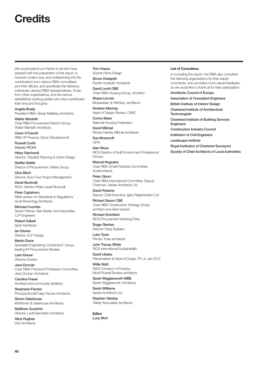## **Credits**

We would extend our thanks to all who have assisted with the preparation of this report, in however small a way, and underpinning this the contributions from various RIBA committees and their officers; and specifically the following individuals, elected RIBA representatives, those from other organisations, and the various established working parties who have contributed their time and thoughts:

Angela Brady President RIBA, Brady Mallalieu Architects Walter Menteth

Chair RIBA Procurement Reform Group, Walter Menteth Architects

Owen O'Carroll RIBA VP Finance, Stock Woolstencroft

Russell Curtis Director RCKA

Hilary Satchwell Director, Tibbalds Planning & Urban Design

Steffan Battle Director of Procurement, Wates Group

Clive Birch Director, Buro Four Project Management

David Bucknall RICS. Director Rider Levett Bucknall

Peter Caplehorn RIBA advisor on Standards & Regulations Scott Brownrigg Architects

Michael Coombs Senior Partner, Alan Baxter and Associates LLP Engineers

Robert Dabell Spirit Architects

Ian Davies Director, DLP Design

Martin Davis Specialist Engineering Contractors' Group, leading IPI Procurement Models

Liam Dewar Director, Eurban

Jane Duncan Chair RIBA Practice & Profession Committee, Jane Duncan Architects

Caroline Fraser Architect and community facilitator

Stephanie Fischer Principal Burrell Foley Fischer Architects

Simon Gatehouse McMorran & Gatehouse Architects

Matthew Goulcher Director, Levitt Bernstein Architects

Alina Hughes 2hD Architects

#### Tom Hopes

Sophie Hicks Design Simon Hudspith Panter Hudspith Architects

David Levitt OBE Chair RIBA Housing Group, Architect Shane Lincoln

Mossessian & Partners, architects

Kirsteen Mackay Head of Design Review, CABE

Corine Meier National Housing Federation

David Mikhail Riches Hawley Mikhail Architects

Sue Morecroft CIPS

Alan Muse RICS Director of Built Environment Professional **Groups** 

Manuel Nogueira Chair RIBA Small Practices Committee, **AndArchitects** 

Peter Oborn Chair RIBA International Committee. Deputy Chairman, Aedas Architects Ltd

David Roberts Deputy Chief Executive, Igloo Regeneration Ltd

Richard Saxon CBE Chair RIBA Construction Strategy Group; architect and client advisor

Richard Schofield RICS Procurement Working Party

Roger Skehan Director Oddy Builders

Luke Tozer Pitman Tozer architects

John Tracey-White RICS International Sustainability

David Ubaka Placemakers & Head of Design TFL to Jan 2012

Willie Watt RIAS Convenor of Practice, Nicoll Russell Studios architects

Sarah Wigglesworth MBE Sarah Wigglesworth Architects

Sarah Williams Aedas Architects Ltd.

Stephen Yakeley Yakely Associates Architects

**Editor** Lucy Mori

#### **List of Consultees**

In compiling this report, the RIBA also consulted the following organisations for their expert comments, who provided much valued feedback, so we would like to thank all for their participation: Architects Council of Europe Association of Consultant Engineers British Institute of Interior Design Chartered Institute of Architectural **Technologists** Chartered Institute of Building Services Engineers

Construction Industry Council

Institution of Civil Engineers Landscape Institute

Royal Institution of Chartered Surveyors

Society of Chief Architects of Local Authorities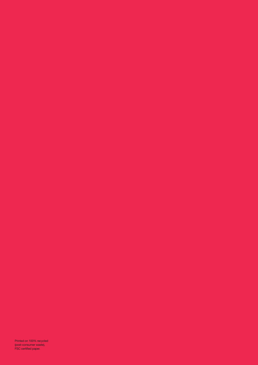Printed on 100% recycled (post-consumer waste), FSC certified paper.